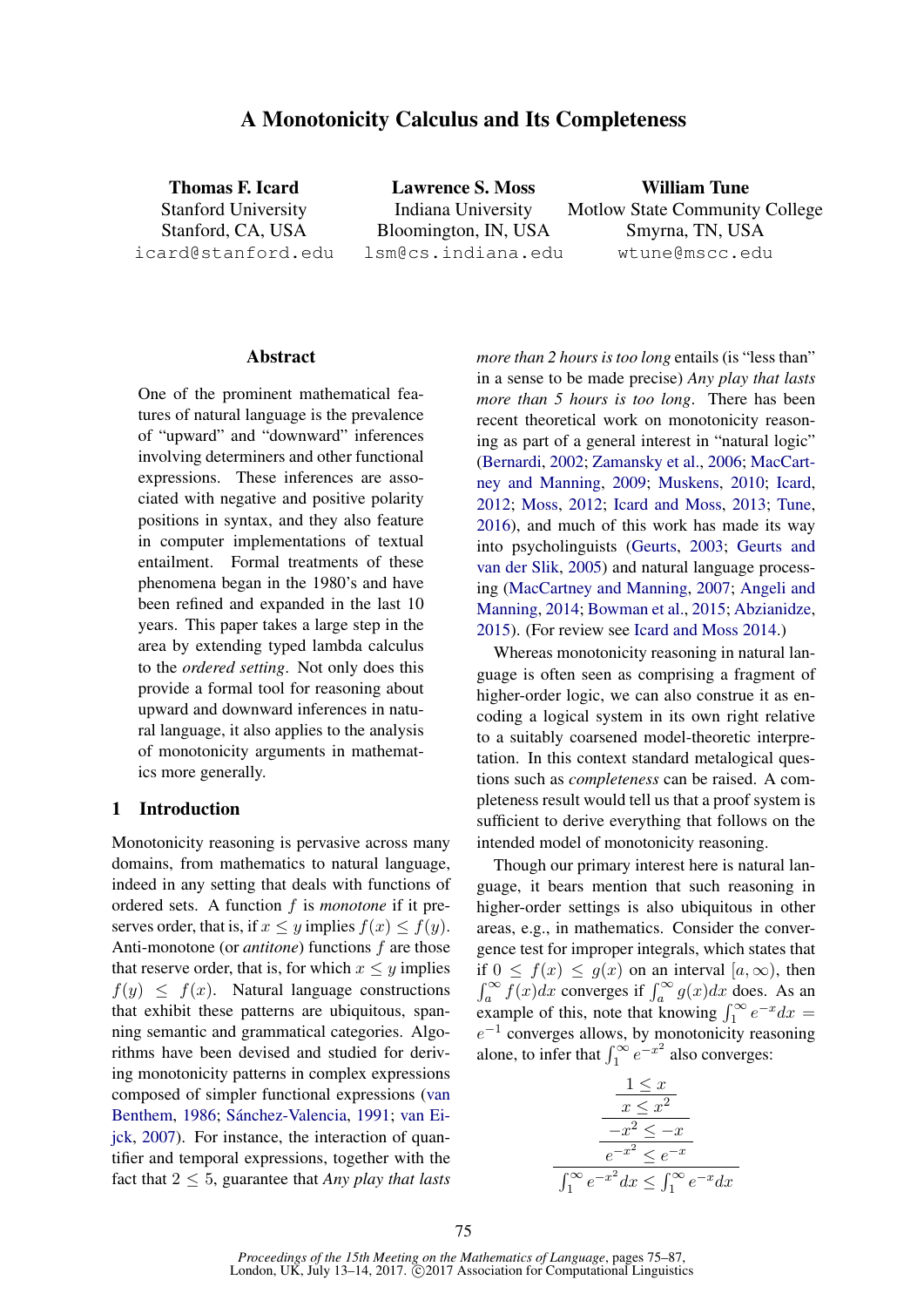# A Monotonicity Calculus and Its Completeness

Thomas F. Icard Stanford University Stanford, CA, USA icard@stanford.edu

Lawrence S. Moss Indiana University Bloomington, IN, USA lsm@cs.indiana.edu

William Tune Motlow State Community College Smyrna, TN, USA wtune@mscc.edu

#### Abstract

One of the prominent mathematical features of natural language is the prevalence of "upward" and "downward" inferences involving determiners and other functional expressions. These inferences are associated with negative and positive polarity positions in syntax, and they also feature in computer implementations of textual entailment. Formal treatments of these phenomena began in the 1980's and have been refined and expanded in the last 10 years. This paper takes a large step in the area by extending typed lambda calculus to the *ordered setting*. Not only does this provide a formal tool for reasoning about upward and downward inferences in natural language, it also applies to the analysis of monotonicity arguments in mathematics more generally.

### 1 Introduction

Monotonicity reasoning is pervasive across many domains, from mathematics to natural language, indeed in any setting that deals with functions of ordered sets. A function f is *monotone* if it preserves order, that is, if  $x \leq y$  implies  $f(x) \leq f(y)$ . Anti-monotone (or *antitone*) functions f are those that reserve order, that is, for which  $x \leq y$  implies  $f(y) \leq f(x)$ . Natural language constructions that exhibit these patterns are ubiquitous, spanning semantic and grammatical categories. Algorithms have been devised and studied for deriving monotonicity patterns in complex expressions composed of simpler functional expressions (van Benthem, 1986; Sánchez-Valencia, 1991; van Eijck, 2007). For instance, the interaction of quantifier and temporal expressions, together with the fact that  $2 \leq 5$ , guarantee that *Any play that lasts* 

*more than 2 hours is too long* entails (is "less than" in a sense to be made precise) *Any play that lasts more than 5 hours is too long*. There has been recent theoretical work on monotonicity reasoning as part of a general interest in "natural logic" (Bernardi, 2002; Zamansky et al., 2006; MacCartney and Manning, 2009; Muskens, 2010; Icard, 2012; Moss, 2012; Icard and Moss, 2013; Tune, 2016), and much of this work has made its way into psycholinguists (Geurts, 2003; Geurts and van der Slik, 2005) and natural language processing (MacCartney and Manning, 2007; Angeli and Manning, 2014; Bowman et al., 2015; Abzianidze, 2015). (For review see Icard and Moss 2014.)

Whereas monotonicity reasoning in natural language is often seen as comprising a fragment of higher-order logic, we can also construe it as encoding a logical system in its own right relative to a suitably coarsened model-theoretic interpretation. In this context standard metalogical questions such as *completeness* can be raised. A completeness result would tell us that a proof system is sufficient to derive everything that follows on the intended model of monotonicity reasoning.

Though our primary interest here is natural language, it bears mention that such reasoning in higher-order settings is also ubiquitous in other areas, e.g., in mathematics. Consider the convergence test for improper integrals, which states that if  $0 \leq f(x) \leq g(x)$  on an interval  $[a,\infty)$ , then  $\int_{a}^{\infty} f(x)dx$  converges if  $\int_{a}^{\infty} g(x)dx$  does. As an example of this, note that knowing  $\int_1^\infty e^{-x} dx =$  $e^{-1}$  converges allows, by monotonicity reasoning alone, to infer that  $\int_1^\infty e^{-x^2}$  also converges:

$$
\frac{1 \le x}{x \le x^2}
$$
\n
$$
\frac{-x^2 \le -x}{e^{-x^2} \le e^{-x}}
$$
\n
$$
\int_1^\infty e^{-x^2} dx \le \int_1^\infty e^{-x} dx
$$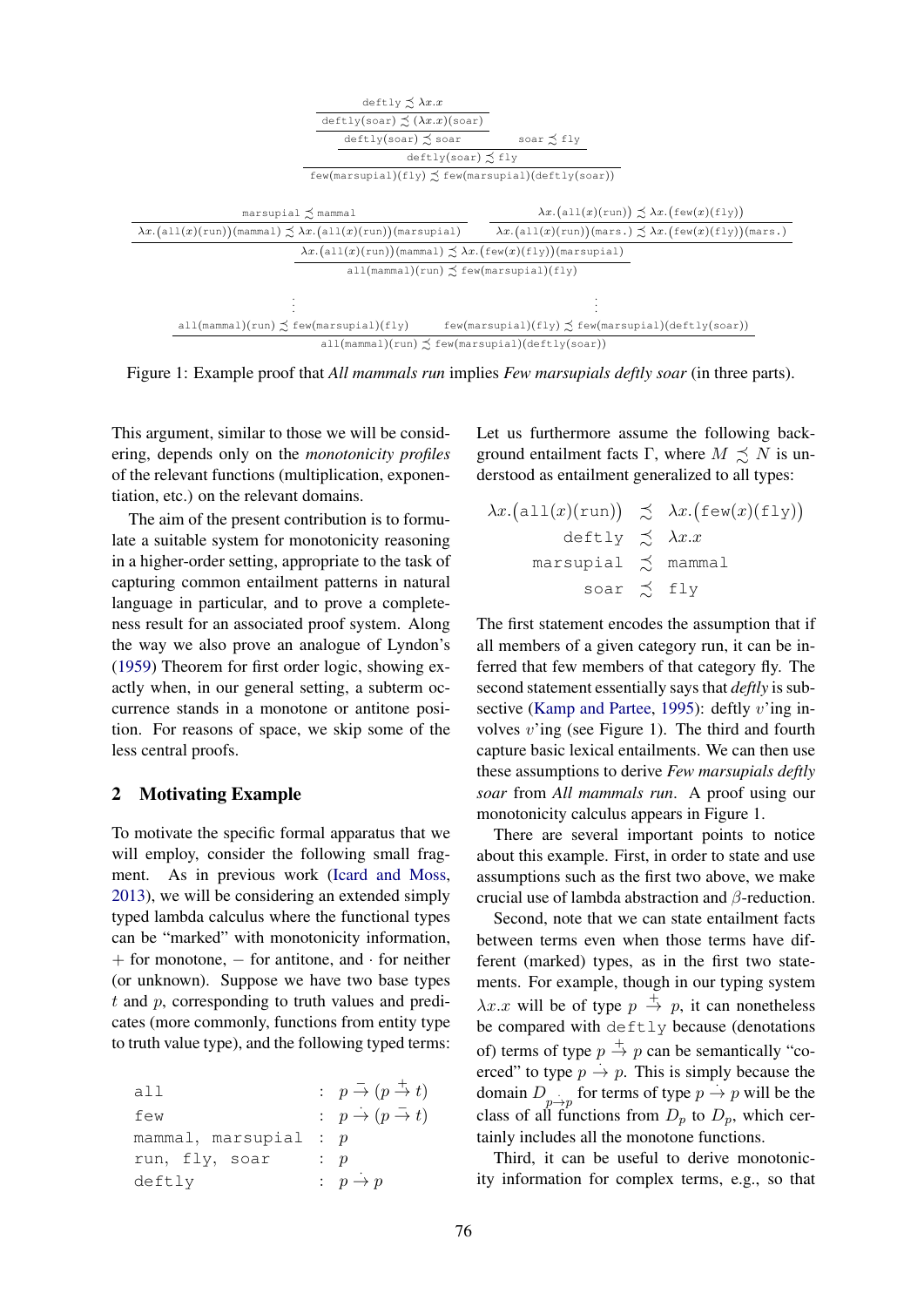

Figure 1: Example proof that *All mammals run* implies *Few marsupials deftly soar* (in three parts).

This argument, similar to those we will be considering, depends only on the *monotonicity profiles* of the relevant functions (multiplication, exponentiation, etc.) on the relevant domains.

The aim of the present contribution is to formulate a suitable system for monotonicity reasoning in a higher-order setting, appropriate to the task of capturing common entailment patterns in natural language in particular, and to prove a completeness result for an associated proof system. Along the way we also prove an analogue of Lyndon's (1959) Theorem for first order logic, showing exactly when, in our general setting, a subterm occurrence stands in a monotone or antitone position. For reasons of space, we skip some of the less central proofs.

## 2 Motivating Example

To motivate the specific formal apparatus that we will employ, consider the following small fragment. As in previous work (Icard and Moss, 2013), we will be considering an extended simply typed lambda calculus where the functional types can be "marked" with monotonicity information,  $+$  for monotone,  $-$  for antitone, and  $\cdot$  for neither (or unknown). Suppose we have two base types  $t$  and  $p$ , corresponding to truth values and predicates (more commonly, functions from entity type to truth value type), and the following typed terms:

| all                     | $p \stackrel{-}{\rightarrow} (p \stackrel{+}{\rightarrow} t)$ |
|-------------------------|---------------------------------------------------------------|
| few                     | $p \rightarrow (p \rightarrow t)$                             |
| mammal, marsupial : $p$ |                                                               |
| run, fly, soar          | p : p                                                         |
| deftly                  | : $p \rightarrow p$                                           |

Let us furthermore assume the following background entailment facts Γ, where  $M \precsim N$  is understood as entailment generalized to all types:

$$
\lambda x.(\text{all}(x)(\text{run})) \precsim \lambda x.(\text{few}(x)(\text{fly}))
$$
  
deftly  $\precsim \lambda x.x$   
maxsupial  $\precsim$  mammal  
soar  $\precsim$  fly

The first statement encodes the assumption that if all members of a given category run, it can be inferred that few members of that category fly. The second statement essentially says that *deftly* is subsective (Kamp and Partee, 1995): deftly  $v'$ ing involves  $v'$ ing (see Figure 1). The third and fourth capture basic lexical entailments. We can then use these assumptions to derive *Few marsupials deftly soar* from *All mammals run*. A proof using our monotonicity calculus appears in Figure 1.

There are several important points to notice about this example. First, in order to state and use assumptions such as the first two above, we make crucial use of lambda abstraction and β-reduction.

Second, note that we can state entailment facts between terms even when those terms have different (marked) types, as in the first two statements. For example, though in our typing system  $\lambda x.x$  will be of type  $p \stackrel{+}{\rightarrow} p$ , it can nonetheless be compared with deftly because (denotations of) terms of type  $p \stackrel{+}{\rightarrow} p$  can be semantically "coerced" to type  $p \rightarrow p$ . This is simply because the domain  $D_{p\to p}$  for terms of type  $p \to p$  will be the class of all functions from  $D_p$  to  $D_p$ , which certainly includes all the monotone functions.

Third, it can be useful to derive monotonicity information for complex terms, e.g., so that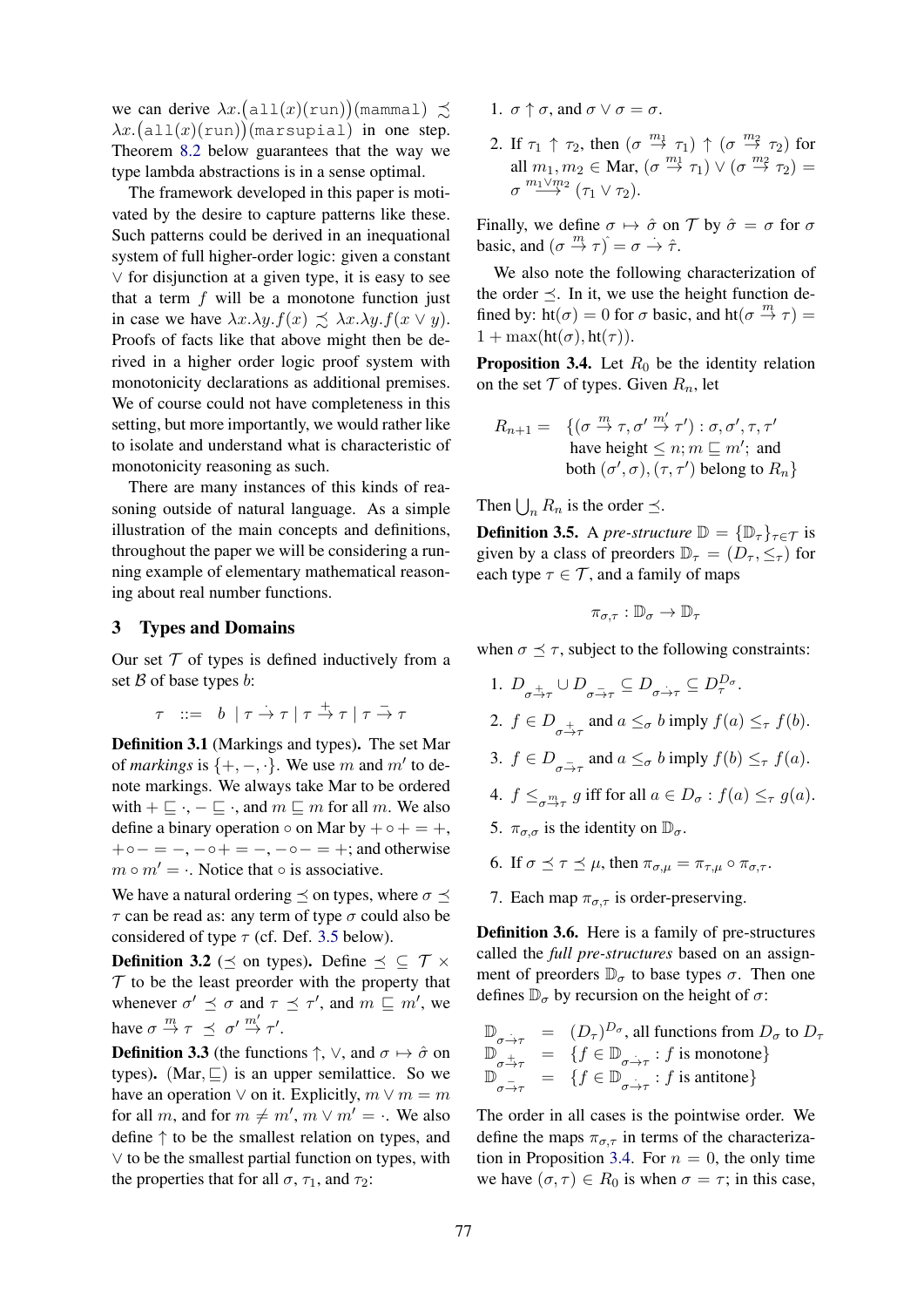we can derive  $\lambda x.$  (all $(x)(run))$ (mammal)  $\precsim$  $\lambda x.$ (all $(x)(run))$ (marsupial) in one step. Theorem 8.2 below guarantees that the way we type lambda abstractions is in a sense optimal.

The framework developed in this paper is motivated by the desire to capture patterns like these. Such patterns could be derived in an inequational system of full higher-order logic: given a constant ∨ for disjunction at a given type, it is easy to see that a term  $f$  will be a monotone function just in case we have  $\lambda x.\lambda y.f(x) \preceq \lambda x.\lambda y.f(x \vee y)$ . Proofs of facts like that above might then be derived in a higher order logic proof system with monotonicity declarations as additional premises. We of course could not have completeness in this setting, but more importantly, we would rather like to isolate and understand what is characteristic of monotonicity reasoning as such.

There are many instances of this kinds of reasoning outside of natural language. As a simple illustration of the main concepts and definitions, throughout the paper we will be considering a running example of elementary mathematical reasoning about real number functions.

## 3 Types and Domains

Our set  $T$  of types is defined inductively from a set  $\beta$  of base types  $b$ :

$$
\tau \ ::= \ b \ | \ \tau \rightarrow \tau \ | \ \tau \stackrel{+}{\rightarrow} \tau \ | \ \tau \stackrel{-}{\rightarrow} \tau
$$

Definition 3.1 (Markings and types). The set Mar of *markings* is  $\{+, -, \cdot\}$ . We use m and m' to denote markings. We always take Mar to be ordered with  $+ \sqsubseteq \cdot, - \sqsubseteq \cdot$ , and  $m \sqsubseteq m$  for all m. We also define a binary operation  $\circ$  on Mar by  $+\circ$  + = +,  $+ \circ - = -$ ,  $- \circ + = -$ ,  $- \circ - = +$ ; and otherwise  $m \circ m' = \cdot$ . Notice that  $\circ$  is associative.

We have a natural ordering  $\prec$  on types, where  $\sigma \prec$  $\tau$  can be read as: any term of type  $\sigma$  could also be considered of type  $\tau$  (cf. Def. 3.5 below).

**Definition 3.2** ( $\prec$  on types). Define  $\prec \subset \mathcal{T} \times$  $T$  to be the least preorder with the property that whenever  $\sigma' \preceq \sigma$  and  $\tau \preceq \tau'$ , and  $m \sqsubseteq m'$ , we have  $\sigma \stackrel{m}{\rightarrow} \tau \preceq \sigma' \stackrel{m'}{\rightarrow} \tau'.$ 

**Definition 3.3** (the functions  $\uparrow$ ,  $\vee$ , and  $\sigma \mapsto \hat{\sigma}$  on types). (Mar,  $\sqsubseteq$ ) is an upper semilattice. So we have an operation  $\vee$  on it. Explicitly,  $m \vee m = m$ for all m, and for  $m \neq m'$ ,  $m \vee m' = \cdot$ . We also define ↑ to be the smallest relation on types, and ∨ to be the smallest partial function on types, with the properties that for all  $\sigma$ ,  $\tau_1$ , and  $\tau_2$ :

- 1.  $\sigma \uparrow \sigma$ , and  $\sigma \vee \sigma = \sigma$ .
- 2. If  $\tau_1 \uparrow \tau_2$ , then  $(\sigma \stackrel{m_1}{\rightarrow} \tau_1) \uparrow (\sigma \stackrel{m_2}{\rightarrow} \tau_2)$  for all  $m_1, m_2 \in$  Mar,  $(\sigma \overset{m_1}{\rightarrow} \tau_1) \vee (\sigma \overset{m_2}{\rightarrow} \tau_2) =$  $\sigma \stackrel{m_1 \vee m_2}{\longrightarrow} (\tau_1 \vee \tau_2).$

Finally, we define  $\sigma \mapsto \hat{\sigma}$  on  $\mathcal T$  by  $\hat{\sigma} = \sigma$  for  $\sigma$ basic, and  $(\sigma \overset{m}{\rightarrow} \tau) = \sigma \overset{\cdot}{\rightarrow} \hat{\tau}$ .

We also note the following characterization of the order  $\preceq$ . In it, we use the height function defined by:  $\overline{ht}(\sigma) = 0$  for  $\sigma$  basic, and  $\overline{ht}(\sigma \stackrel{m}{\rightarrow} \tau) =$  $1 + \max(\text{ht}(\sigma), \text{ht}(\tau)).$ 

**Proposition 3.4.** Let  $R_0$  be the identity relation on the set  $T$  of types. Given  $R_n$ , let

$$
R_{n+1} = \{ (\sigma \stackrel{m}{\rightarrow} \tau, \sigma' \stackrel{m'}{\rightarrow} \tau') : \sigma, \sigma', \tau, \tau' \text{ have height} \leq n; m \sqsubseteq m'; \text{ and } \text{ both } (\sigma', \sigma), (\tau, \tau') \text{ belong to } R_n \}
$$

Then  $\bigcup_n R_n$  is the order  $\preceq$ .

**Definition 3.5.** A *pre-structure*  $\mathbb{D} = {\mathbb{D}_{\tau}}_{\tau \in \mathcal{T}}$  is given by a class of preorders  $\mathbb{D}_{\tau} = (D_{\tau}, \leq_{\tau})$  for each type  $\tau \in \mathcal{T}$ , and a family of maps

$$
\pi_{\sigma,\tau} : \mathbb{D}_{\sigma} \to \mathbb{D}_{\tau}
$$

when  $\sigma \preceq \tau$ , subject to the following constraints:

- 1.  $D_{\sigma \to \tau} \cup D_{\sigma \to \tau} \subseteq D_{\sigma \to \tau} \subseteq D_{\tau}^{D_{\sigma}}$ . 2.  $f \in D_{\sigma \to \tau}$  and  $a \leq_{\sigma} b$  imply  $f(a) \leq_{\tau} f(b)$ . 3.  $f \in D_{\sigma \to \tau}$  and  $a \leq_{\sigma} b$  imply  $f(b) \leq_{\tau} f(a)$ . 4.  $f \leq_{\sigma \xrightarrow{m}_{\tau}} g$  iff for all  $a \in D_{\sigma} : f(a) \leq_{\tau} g(a)$ .
- 5.  $\pi_{\sigma,\sigma}$  is the identity on  $\mathbb{D}_{\sigma}$ .
- 6. If  $\sigma \prec \tau \prec \mu$ , then  $\pi_{\sigma,\mu} = \pi_{\tau,\mu} \circ \pi_{\sigma,\tau}$ .
- 7. Each map  $\pi_{\sigma,\tau}$  is order-preserving.

Definition 3.6. Here is a family of pre-structures called the *full pre-structures* based on an assignment of preorders  $\mathbb{D}_{\sigma}$  to base types  $\sigma$ . Then one defines  $\mathbb{D}_{\sigma}$  by recursion on the height of  $\sigma$ :

$$
\mathbb{D}_{\substack{\sigma \to \tau \\ \mathbb{D}_{\sigma \to \tau}}} = (D_{\tau})^{D_{\sigma}}, \text{ all functions from } D_{\sigma} \text{ to } D_{\tau} \n\mathbb{D}_{\substack{\sigma \to \tau \\ \mathbb{D}_{\sigma \to \tau}}} = \{ f \in \mathbb{D}_{\substack{\sigma \to \tau \\ \sigma \to \tau}} : f \text{ is monotone} \} \n\mathbb{D}_{\substack{\sigma \to \tau \\ \mathbb{D}_{\sigma \to \tau}}} = \{ f \in \mathbb{D}_{\substack{\sigma \to \tau \\ \sigma \to \tau}} : f \text{ is antitone} \}
$$

The order in all cases is the pointwise order. We define the maps  $\pi_{\sigma,\tau}$  in terms of the characterization in Proposition 3.4. For  $n = 0$ , the only time we have  $(\sigma, \tau) \in R_0$  is when  $\sigma = \tau$ ; in this case,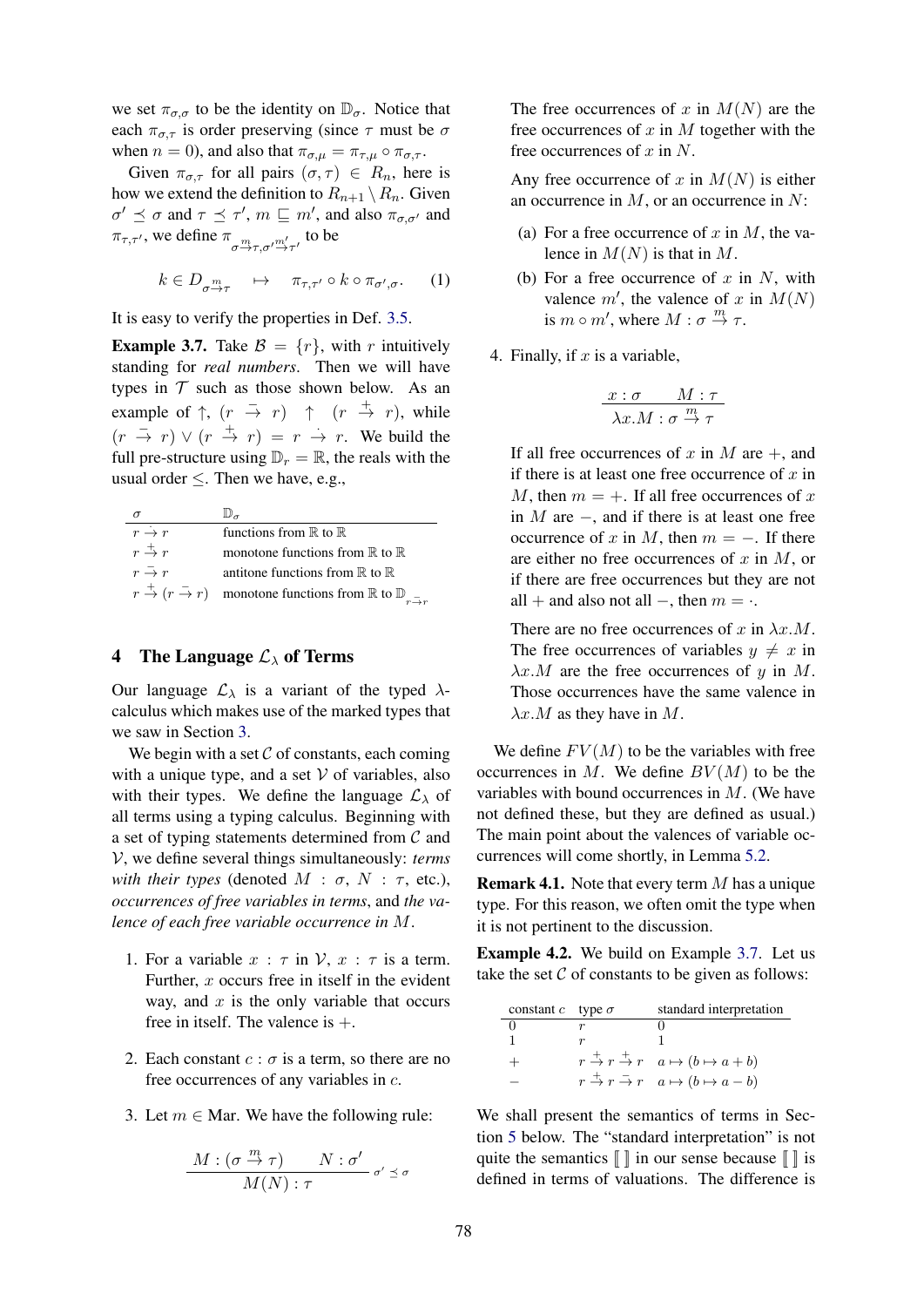we set  $\pi_{\sigma,\sigma}$  to be the identity on  $\mathbb{D}_{\sigma}$ . Notice that each  $\pi_{\sigma,\tau}$  is order preserving (since  $\tau$  must be  $\sigma$ when  $n = 0$ ), and also that  $\pi_{\sigma,\mu} = \pi_{\tau,\mu} \circ \pi_{\sigma,\tau}$ .

Given  $\pi_{\sigma,\tau}$  for all pairs  $(\sigma,\tau) \in R_n$ , here is how we extend the definition to  $R_{n+1} \setminus R_n$ . Given  $\sigma' \preceq \sigma$  and  $\tau \preceq \tau'$ ,  $m \sqsubseteq m'$ , and also  $\pi_{\sigma,\sigma'}$  and  $\pi_{\tau,\tau'}$ , we define  $\pi_{\sigma \stackrel{m}{\rightarrow} \tau,\sigma' \stackrel{m'}{\rightarrow} \tau'}$  to be

$$
k \in D_{\sigma \xrightarrow{m}_{\tau}} \quad \mapsto \quad \pi_{\tau,\tau'} \circ k \circ \pi_{\sigma',\sigma}. \tag{1}
$$

It is easy to verify the properties in Def. 3.5.

**Example 3.7.** Take  $\mathcal{B} = \{r\}$ , with r intuitively standing for *real numbers*. Then we will have types in  $T$  such as those shown below. As an example of  $\uparrow$ ,  $(r \rightarrow r)$   $\uparrow$   $(r \rightarrow r)$ , while  $(r \to r) \vee (r \to r) = r \to r$ . We build the full pre-structure using  $\mathbb{D}_r = \mathbb{R}$ , the reals with the usual order  $\leq$ . Then we have, e.g.,

| $r \rightarrow r$               | functions from $\mathbb R$ to $\mathbb R$                                                                                    |
|---------------------------------|------------------------------------------------------------------------------------------------------------------------------|
| $r \stackrel{+}{\rightarrow} r$ | monotone functions from $\mathbb R$ to $\mathbb R$                                                                           |
| $r \rightarrow r$               | antitone functions from $\mathbb R$ to $\mathbb R$                                                                           |
|                                 | $r \stackrel{+}{\rightarrow} (r \stackrel{-}{\rightarrow} r)$ monotone functions from $\mathbb R$ to $\mathbb D$ $\mathbb R$ |

# 4 The Language  $\mathcal{L}_{\lambda}$  of Terms

Our language  $\mathcal{L}_{\lambda}$  is a variant of the typed  $\lambda$ calculus which makes use of the marked types that we saw in Section 3.

We begin with a set  $\mathcal C$  of constants, each coming with a unique type, and a set  $V$  of variables, also with their types. We define the language  $\mathcal{L}_{\lambda}$  of all terms using a typing calculus. Beginning with a set of typing statements determined from  $\mathcal C$  and V, we define several things simultaneously: *terms with their types* (denoted  $M : \sigma, N : \tau$ , etc.), *occurrences of free variables in terms*, and *the valence of each free variable occurrence in* M.

- 1. For a variable  $x : \tau$  in  $\mathcal{V}, x : \tau$  is a term. Further,  $x$  occurs free in itself in the evident way, and  $x$  is the only variable that occurs free in itself. The valence is  $+$ .
- 2. Each constant  $c : \sigma$  is a term, so there are no free occurrences of any variables in c.
- 3. Let  $m \in$  Mar. We have the following rule:

$$
\frac{M: (\sigma\overset{m}{\to}\tau) \qquad N: \sigma'}{M(N): \tau}\circ' \preceq \sigma
$$

The free occurrences of x in  $M(N)$  are the free occurrences of  $x$  in  $M$  together with the free occurrences of  $x$  in  $N$ .

Any free occurrence of x in  $M(N)$  is either an occurrence in  $M$ , or an occurrence in  $N$ :

- (a) For a free occurrence of x in M, the valence in  $M(N)$  is that in M.
- (b) For a free occurrence of  $x$  in  $N$ , with valence  $m'$ , the valence of x in  $M(N)$ is  $m \circ m'$ , where  $M : \sigma \stackrel{m}{\to} \tau$ .
- 4. Finally, if  $x$  is a variable,

$$
\frac{x:\sigma \qquad M:\tau}{\lambda x.M:\sigma \stackrel{m}{\rightarrow} \tau}
$$

If all free occurrences of x in M are  $+$ , and if there is at least one free occurrence of  $x$  in M, then  $m = +$ . If all free occurrences of x in  $M$  are  $-$ , and if there is at least one free occurrence of x in M, then  $m = -$ . If there are either no free occurrences of  $x$  in  $M$ , or if there are free occurrences but they are not all + and also not all –, then  $m = \cdot$ .

There are no free occurrences of x in  $\lambda x.M$ . The free occurrences of variables  $y \neq x$  in  $\lambda x.M$  are the free occurrences of y in M. Those occurrences have the same valence in  $\lambda x.M$  as they have in M.

We define  $FV(M)$  to be the variables with free occurrences in  $M$ . We define  $BV(M)$  to be the variables with bound occurrences in M. (We have not defined these, but they are defined as usual.) The main point about the valences of variable occurrences will come shortly, in Lemma 5.2.

**Remark 4.1.** Note that every term  $M$  has a unique type. For this reason, we often omit the type when it is not pertinent to the discussion.

Example 4.2. We build on Example 3.7. Let us take the set  $C$  of constants to be given as follows:

| constant c type $\sigma$ | standard interpretation                                                                       |
|--------------------------|-----------------------------------------------------------------------------------------------|
|                          |                                                                                               |
|                          |                                                                                               |
| $^+$                     | $r \stackrel{+}{\rightarrow} r \stackrel{+}{\rightarrow} r \quad a \mapsto (b \mapsto a+b)$   |
|                          | $r \stackrel{+}{\rightarrow} r \stackrel{-}{\rightarrow} r \quad a \mapsto (b \mapsto a - b)$ |

We shall present the semantics of terms in Section 5 below. The "standard interpretation" is not quite the semantics  $\llbracket \cdot \rrbracket$  in our sense because  $\llbracket \cdot \rrbracket$  is defined in terms of valuations. The difference is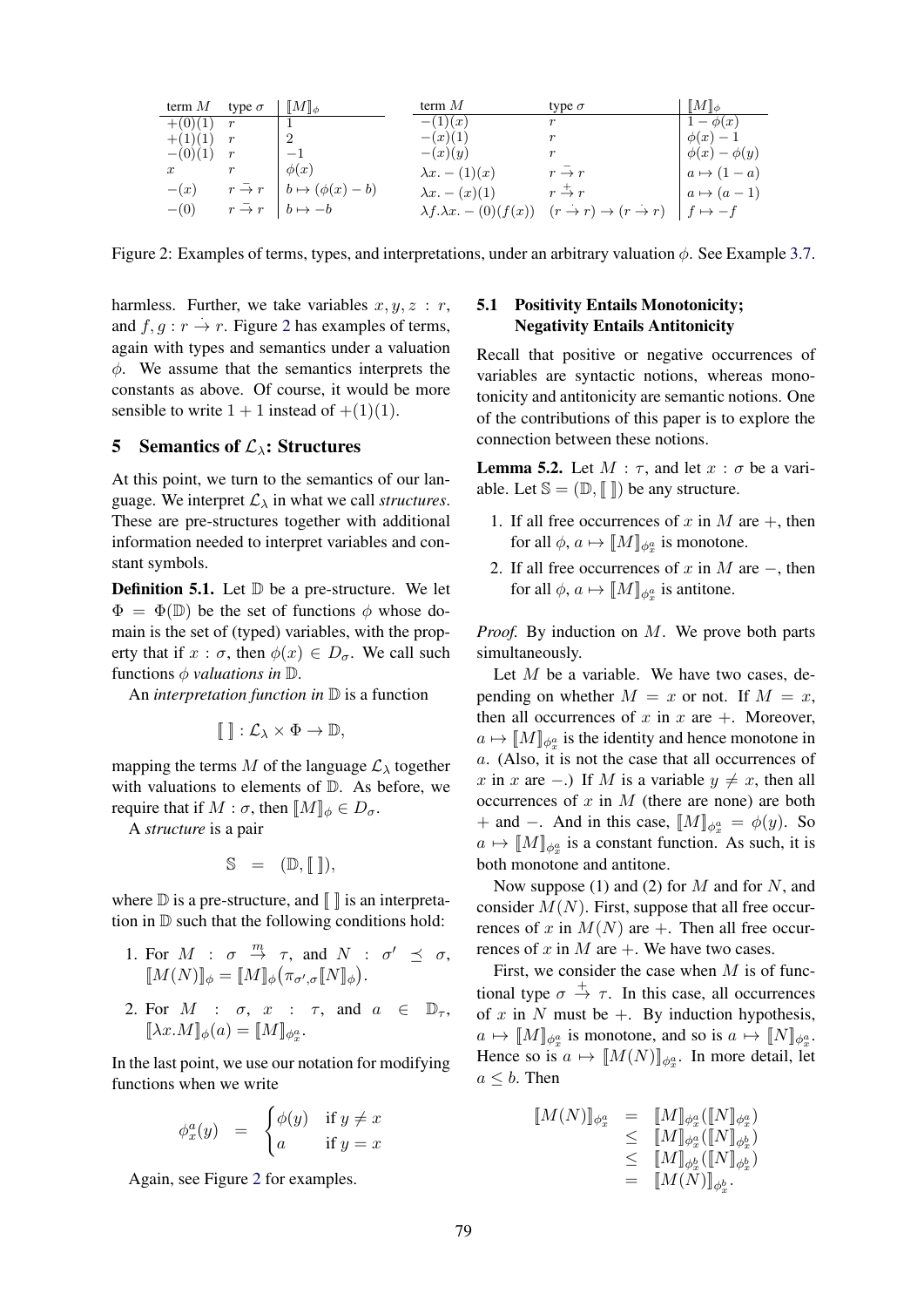| term $M$         | type $\sigma$     | $\ M\ _{\phi}$            | term $M$                                    | type $\sigma$                              | $\ M\ _{\phi}$      |
|------------------|-------------------|---------------------------|---------------------------------------------|--------------------------------------------|---------------------|
| $+(0)(1)$        | $\boldsymbol{r}$  |                           | $-(1)(x)$                                   | $\,r\,$                                    | $1-\phi(x)$         |
| $+(1)(1)$        | $\boldsymbol{r}$  | 2                         | $-(x)(1)$                                   | r                                          | $\phi(x)-1$         |
| $-(0)(1)$        | r                 | $-1$                      | $-(x)(y)$                                   | $\,r\,$                                    | $\phi(x) - \phi(y)$ |
| $\boldsymbol{x}$ |                   | $\phi(x)$                 | $\lambda x. - (1)(x)$                       | $r \rightarrow r$                          | $a \mapsto (1-a)$   |
| $-(x)$           | $r \rightarrow r$ | $b \mapsto (\phi(x) - b)$ | $\lambda x. - (x)(1)$                       | $r \stackrel{+}{\rightarrow} r$            | $a \mapsto (a-1)$   |
| $-(0)$           | $r \rightarrow r$ | $b \mapsto -b$            | $\lambda f \cdot \lambda x$ . $- (0)(f(x))$ | $(r \to r) \to (r \to r)$   $f \mapsto -f$ |                     |

Figure 2: Examples of terms, types, and interpretations, under an arbitrary valuation  $\phi$ . See Example 3.7.

harmless. Further, we take variables  $x, y, z : r$ , and  $f, g: r \to r$ . Figure 2 has examples of terms, again with types and semantics under a valuation  $\phi$ . We assume that the semantics interprets the constants as above. Of course, it would be more sensible to write  $1 + 1$  instead of  $+(1)(1)$ .

#### 5 Semantics of  $\mathcal{L}_{\lambda}$ : Structures

At this point, we turn to the semantics of our language. We interpret  $\mathcal{L}_{\lambda}$  in what we call *structures*. These are pre-structures together with additional information needed to interpret variables and constant symbols.

**Definition 5.1.** Let  $\mathbb D$  be a pre-structure. We let  $\Phi = \Phi(\mathbb{D})$  be the set of functions  $\phi$  whose domain is the set of (typed) variables, with the property that if  $x : \sigma$ , then  $\phi(x) \in D_{\sigma}$ . We call such functions  $\phi$  *valuations in*  $\mathbb{D}$ .

An *interpretation function in* D is a function

$$
\llbracket \; \rrbracket : \mathcal{L}_{\lambda} \times \Phi \to \mathbb{D},
$$

mapping the terms M of the language  $\mathcal{L}_{\lambda}$  together with valuations to elements of D. As before, we require that if  $M : \sigma$ , then  $[M]_{\phi} \in D_{\sigma}$ .

A *structure* is a pair

$$
\mathbb{S} = (\mathbb{D}, [\![\;]\!]),
$$

where  $\mathbb D$  is a pre-structure, and  $\| \cdot \|$  is an interpretation in D such that the following conditions hold:

- 1. For  $M$  :  $\sigma \stackrel{m}{\rightarrow} \tau$ , and  $N$  :  $\sigma' \preceq \sigma$ ,  $\llbracket M(N) \rrbracket_{\phi} = \llbracket M \rrbracket_{\phi} \big( \pi_{\sigma',\sigma} \llbracket N \rrbracket_{\phi} \big).$
- 2. For  $M$  :  $\sigma$ ,  $x$  :  $\tau$ , and  $a \in \mathbb{D}_{\tau}$ ,  $[\![\lambda x.M]\!]_{\phi}(a) = [\![M]\!]_{\phi_x^a}.$

In the last point, we use our notation for modifying functions when we write

$$
\phi_x^a(y) = \begin{cases} \phi(y) & \text{if } y \neq x \\ a & \text{if } y = x \end{cases}
$$

Again, see Figure 2 for examples.

# 5.1 Positivity Entails Monotonicity; Negativity Entails Antitonicity

Recall that positive or negative occurrences of variables are syntactic notions, whereas monotonicity and antitonicity are semantic notions. One of the contributions of this paper is to explore the connection between these notions.

**Lemma 5.2.** Let  $M : \tau$ , and let  $x : \sigma$  be a variable. Let  $\mathbb{S} = (\mathbb{D}, \llbracket \rrbracket)$  be any structure.

- 1. If all free occurrences of x in M are  $+$ , then for all  $\phi$ ,  $a \mapsto [M]_{\phi_x^a}$  is monotone.
- 2. If all free occurrences of x in M are  $-$ , then for all  $\phi$ ,  $a \mapsto [M]_{\phi_x^a}$  is antitone.

*Proof.* By induction on M. We prove both parts simultaneously.

Let  $M$  be a variable. We have two cases, depending on whether  $M = x$  or not. If  $M = x$ , then all occurrences of x in x are  $+$ . Moreover,  $a \mapsto [M]_{\phi_x^a}$  is the identity and hence monotone in a. (Also, it is not the case that all occurrences of x in x are −.) If M is a variable  $y \neq x$ , then all occurrences of  $x$  in  $M$  (there are none) are both + and –. And in this case,  $\llbracket M \rrbracket_{\phi_x^a} = \phi(y)$ . So  $a \mapsto [M]_{\phi_x^a}$  is a constant function. As such, it is both monotone and antitone.

Now suppose (1) and (2) for  $M$  and for  $N$ , and consider  $M(N)$ . First, suppose that all free occurrences of x in  $M(N)$  are +. Then all free occurrences of x in M are  $+$ . We have two cases.

First, we consider the case when  $M$  is of functional type  $\sigma \stackrel{+}{\rightarrow} \tau$ . In this case, all occurrences of x in N must be  $+$ . By induction hypothesis,  $a \mapsto [M]_{\phi_x^a}$  is monotone, and so is  $a \mapsto [N]_{\phi_x^a}$ . Hence so is  $a \mapsto [M(N)]_{\phi_x^a}$ . In more detail, let  $a \leq b$ . Then

$$
\begin{array}{rcl} [\![M(N)]\!]_{\phi^a_x} & = & [\![M]\!]_{\phi^a_x}([\![N]\!]_{\phi^a_x}) \\ & \leq & [\![M]\!]_{\phi^a_x}([\![N]\!]_{\phi^b_x}) \\ & \leq & [\![M]\!]_{\phi^b_x}([\![N]\!]_{\phi^b_x}) \\ & = & [\![M(N)]\!]_{\phi^b_x}.\end{array}
$$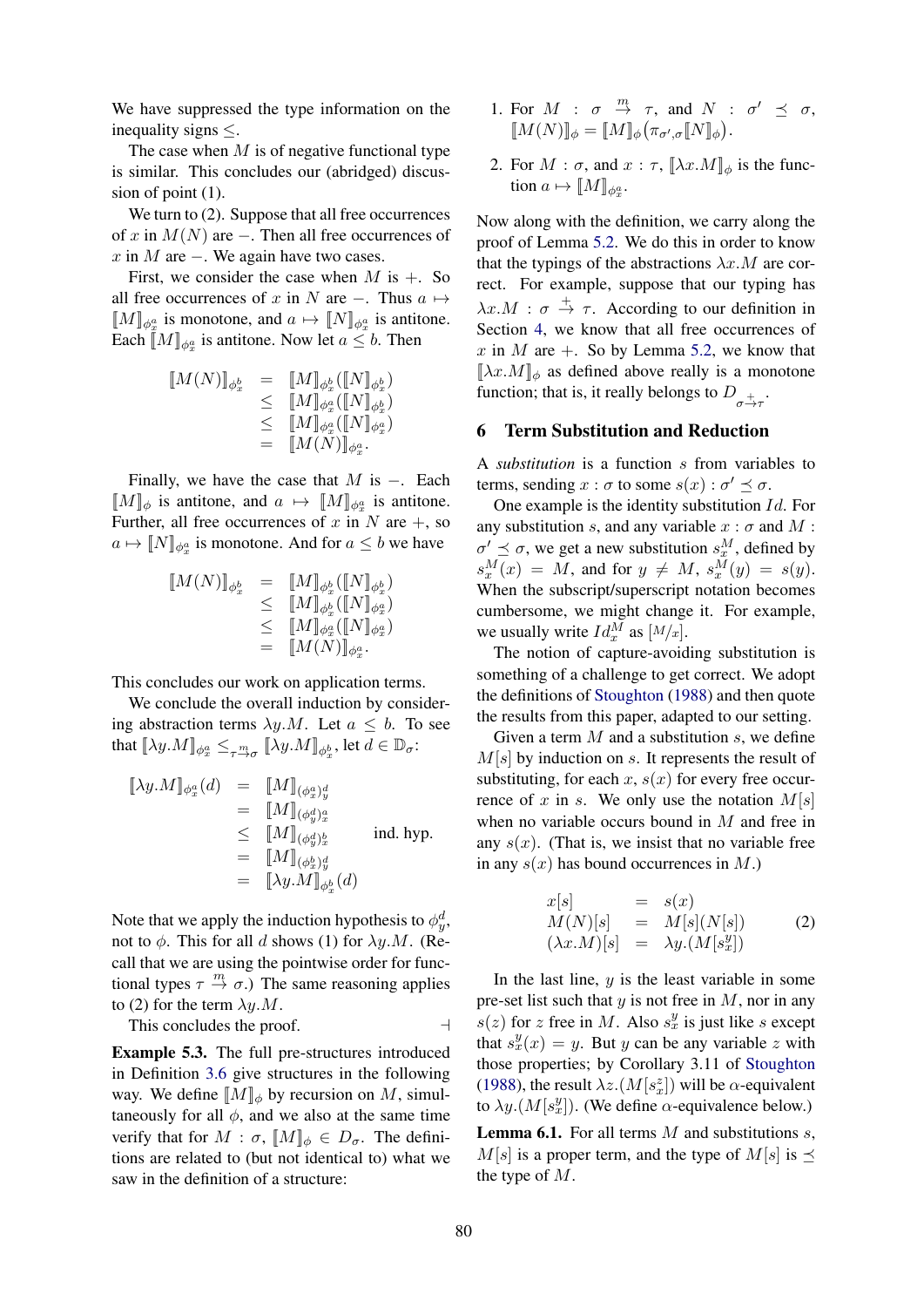We have suppressed the type information on the inequality signs ≤.

The case when  $M$  is of negative functional type is similar. This concludes our (abridged) discussion of point (1).

We turn to  $(2)$ . Suppose that all free occurrences of x in  $M(N)$  are –. Then all free occurrences of  $x$  in  $M$  are  $-$ . We again have two cases.

First, we consider the case when  $M$  is  $+$ . So all free occurrences of x in N are  $-$ . Thus  $a \mapsto$  $\llbracket M \rrbracket_{\phi_x^a}$  is monotone, and  $a \mapsto \llbracket N \rrbracket_{\phi_x^a}$  is antitone. Each  $\llbracket M \rrbracket_{\phi_x^a}$  is antitone. Now let  $a \leq b$ . Then

$$
\begin{array}{rcl} [\![M(N)]\!]_{\phi^b_x} & = & [\![M]\!]_{\phi^b_x}([\![N]\!]_{\phi^b_x}) \\ & \leq & [\![M]\!]_{\phi^a_x}([\![N]\!]_{\phi^b_x}) \\ & \leq & [\![M]\!]_{\phi^a_x}([\![N]\!]_{\phi^a_x}) \\ & = & [\![M(N)]\!]_{\phi^a_x}. \end{array}
$$

Finally, we have the case that  $M$  is  $-$ . Each  $\llbracket M \rrbracket_{\phi}$  is antitone, and  $a \mapsto \llbracket M \rrbracket_{\phi_x^a}$  is antitone. Further, all free occurrences of x in N are  $+$ , so  $a \mapsto [N]_{\phi_x^a}$  is monotone. And for  $a \leq b$  we have

$$
\begin{array}{rcl} [\![M(N)]\!]_{\phi^b_x} & = & [\![M]\!]_{\phi^b_x}([\![N]\!]_{\phi^b_x}) \\ & \leq & [\![M]\!]_{\phi^b_x}([\![N]\!]_{\phi^a_x}) \\ & \leq & [\![M]\!]_{\phi^a_x}([\![N]\!]_{\phi^a_x}) \\ & = & [\![M(N)]\!]_{\phi^a_x}. \end{array}
$$

This concludes our work on application terms.

We conclude the overall induction by considering abstraction terms  $\lambda y.M$ . Let  $a \leq b$ . To see that  $[\![\lambda y. M]\!]_{\phi^a_x} \leq_{\tau \xrightarrow{m}_{\sigma}} [\![\lambda y. M]\!]_{\phi^b_x}$ , let  $d \in \mathbb{D}_{\sigma}$ :

$$
\begin{array}{rcl}\n[\![\lambda y.M]\!]_{\phi^a_x}(d) & = & [\![M]\!]_{(\phi^a_x)^d_y} \\
 & = & [\![M]\!]_{(\phi^d_y)^a_x} \\
 & \leq & [\![M]\!]_{(\phi^d_x)^b_x} \qquad \text{ind. hyp.} \\
 & = & [\![M]\!]_{(\phi^b_x)^d_y} \\
 & = & [\![\lambda y.M]\!]_{\phi^b_x}(d)\n\end{array}
$$

Note that we apply the induction hypothesis to  $\phi_y^d$ , not to  $\phi$ . This for all d shows (1) for  $\lambda y.M$ . (Recall that we are using the pointwise order for functional types  $\tau \stackrel{m}{\rightarrow} \sigma$ .) The same reasoning applies to (2) for the term  $\lambda y.M$ .

This concludes the proof.  $\Box$ 

Example 5.3. The full pre-structures introduced in Definition 3.6 give structures in the following way. We define  $[M]_{\phi}$  by recursion on M, simultaneously for all  $\phi$ , and we also at the same time verify that for  $M : \sigma$ ,  $[M]_{\phi} \in D_{\sigma}$ . The definitions are related to (but not identical to) what we saw in the definition of a structure:

- 1. For  $M$  :  $\sigma \stackrel{m}{\rightarrow} \tau$ , and  $N$  :  $\sigma' \preceq \sigma$ ,  $\llbracket M(N) \rrbracket_{\phi} = \llbracket M \rrbracket_{\phi} \big( \pi_{\sigma',\sigma} \llbracket N \rrbracket_{\phi} \big).$
- 2. For  $M : \sigma$ , and  $x : \tau$ ,  $\|\lambda x.M\|_{\phi}$  is the function  $a \mapsto [M]_{\phi_x^a}$ .

Now along with the definition, we carry along the proof of Lemma 5.2. We do this in order to know that the typings of the abstractions  $\lambda x.M$  are correct. For example, suppose that our typing has  $\lambda x.M$  :  $\sigma \stackrel{+}{\rightarrow} \tau$ . According to our definition in Section 4, we know that all free occurrences of x in M are  $+$ . So by Lemma 5.2, we know that  $[\![\lambda x. M]\!]_{\phi}$  as defined above really is a monotone function; that is, it really belongs to  $D_{\sigma \overset{+}{\rightarrow} \tau}$ .

### 6 Term Substitution and Reduction

A *substitution* is a function s from variables to terms, sending  $x : \sigma$  to some  $s(x) : \sigma' \preceq \sigma$ .

One example is the identity substitution Id. For any substitution s, and any variable  $x : \sigma$  and M :  $\sigma' \preceq \sigma$ , we get a new substitution  $s_x^M$ , defined by  $s_x^M(x) = M$ , and for  $y \neq M$ ,  $s_x^M(y) = s(y)$ . When the subscript/superscript notation becomes cumbersome, we might change it. For example, we usually write  $Id_x^M$  as  $[M/x]$ .

The notion of capture-avoiding substitution is something of a challenge to get correct. We adopt the definitions of Stoughton (1988) and then quote the results from this paper, adapted to our setting.

Given a term  $M$  and a substitution  $s$ , we define  $M[s]$  by induction on s. It represents the result of substituting, for each x,  $s(x)$  for every free occurrence of x in s. We only use the notation  $M[s]$ when no variable occurs bound in  $M$  and free in any  $s(x)$ . (That is, we insist that no variable free in any  $s(x)$  has bound occurrences in  $M$ .)

$$
x[s] = s(x)
$$
  
\n
$$
M(N)[s] = M[s](N[s])
$$
 (2)  
\n
$$
(\lambda x.M)[s] = \lambda y.(M[s_x^y])
$$

In the last line,  $y$  is the least variable in some pre-set list such that  $y$  is not free in  $M$ , nor in any  $s(z)$  for z free in M. Also  $s_x^y$  is just like s except that  $s_x^y(x) = y$ . But y can be any variable z with those properties; by Corollary 3.11 of Stoughton (1988), the result  $\lambda z.(M[s_x^z])$  will be  $\alpha$ -equivalent to  $\lambda y \cdot (M[s_x^y])$ . (We define  $\alpha$ -equivalence below.)

**Lemma 6.1.** For all terms  $M$  and substitutions  $s$ .  $M[s]$  is a proper term, and the type of  $M[s]$  is  $\prec$ the type of M.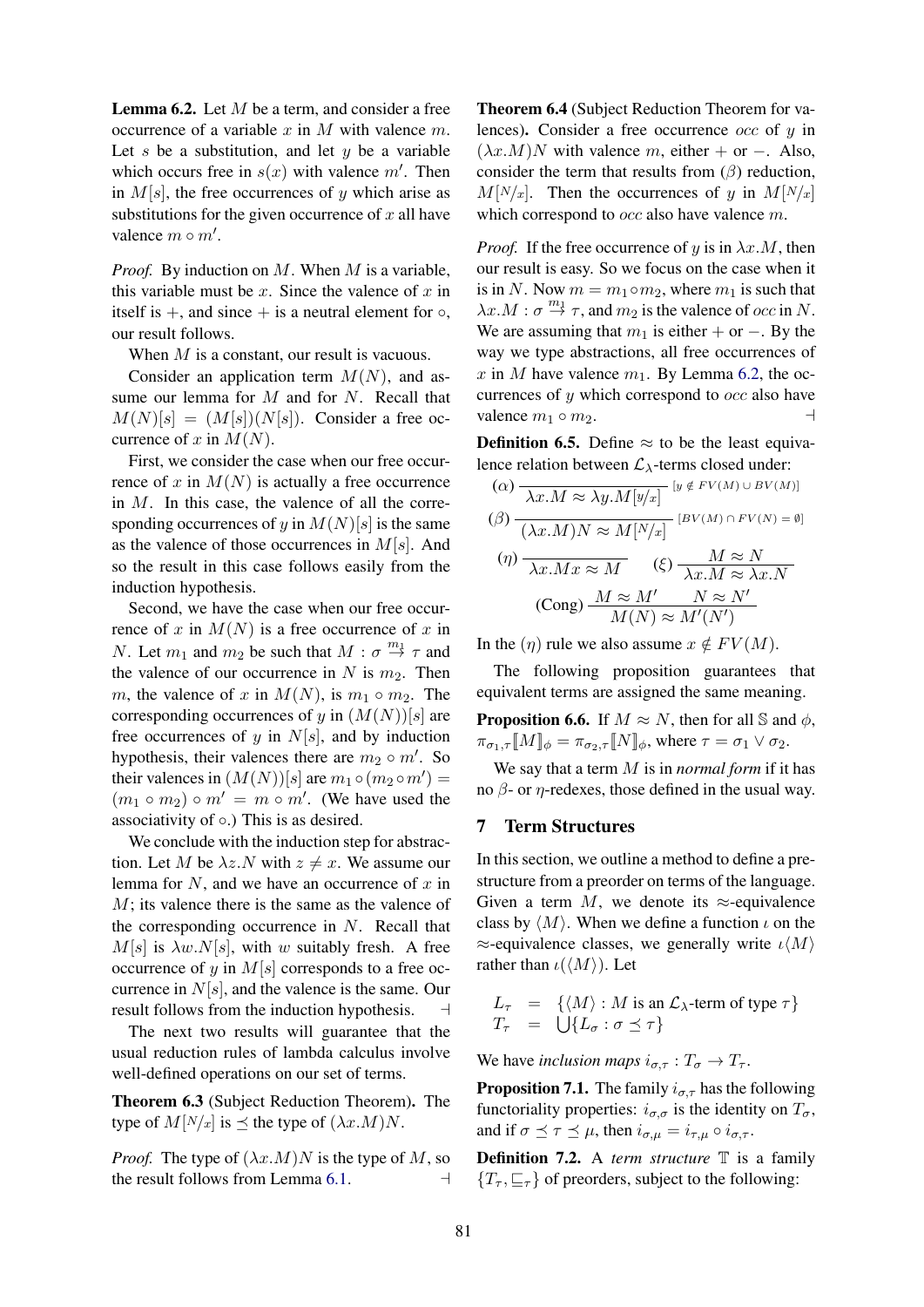**Lemma 6.2.** Let  $M$  be a term, and consider a free occurrence of a variable x in M with valence  $m$ . Let s be a substitution, and let  $y$  be a variable which occurs free in  $s(x)$  with valence m'. Then in  $M[s]$ , the free occurrences of y which arise as substitutions for the given occurrence of  $x$  all have valence  $m \circ m'$ .

*Proof.* By induction on M. When M is a variable, this variable must be x. Since the valence of x in itself is  $+$ , and since  $+$  is a neutral element for  $\circ$ , our result follows.

When M is a constant, our result is vacuous.

Consider an application term  $M(N)$ , and assume our lemma for  $M$  and for  $N$ . Recall that  $M(N)[s] = (M[s])(N[s])$ . Consider a free occurrence of x in  $M(N)$ .

First, we consider the case when our free occurrence of x in  $M(N)$  is actually a free occurrence in  $M$ . In this case, the valence of all the corresponding occurrences of y in  $M(N)[s]$  is the same as the valence of those occurrences in  $M[s]$ . And so the result in this case follows easily from the induction hypothesis.

Second, we have the case when our free occurrence of x in  $M(N)$  is a free occurrence of x in *N*. Let  $m_1$  and  $m_2$  be such that  $M : \sigma \overset{m_1}{\rightarrow} \tau$  and the valence of our occurrence in N is  $m_2$ . Then m, the valence of x in  $M(N)$ , is  $m_1 \circ m_2$ . The corresponding occurrences of y in  $(M(N))[s]$  are free occurrences of y in  $N[s]$ , and by induction hypothesis, their valences there are  $m_2 \circ m'$ . So their valences in  $(M(N))[s]$  are  $m_1 \circ (m_2 \circ m') =$  $(m_1 \circ m_2) \circ m' = m \circ m'$ . (We have used the associativity of  $\circ$ .) This is as desired.

We conclude with the induction step for abstraction. Let M be  $\lambda z.N$  with  $z \neq x$ . We assume our lemma for  $N$ , and we have an occurrence of  $x$  in M; its valence there is the same as the valence of the corresponding occurrence in  $N$ . Recall that  $M[s]$  is  $\lambda w.N[s]$ , with w suitably fresh. A free occurrence of y in  $M[s]$  corresponds to a free occurrence in  $N[s]$ , and the valence is the same. Our result follows from the induction hypothesis.  $\Box$ 

The next two results will guarantee that the usual reduction rules of lambda calculus involve well-defined operations on our set of terms.

Theorem 6.3 (Subject Reduction Theorem). The type of  $M[N/x]$  is  $\preceq$  the type of  $(\lambda x.M)N$ .

*Proof.* The type of  $(\lambda x.M)N$  is the type of M, so the result follows from Lemma 6.1.  $\Box$ 

Theorem 6.4 (Subject Reduction Theorem for valences). Consider a free occurrence  $occ$  of  $u$  in  $(\lambda x.M)N$  with valence m, either + or −. Also, consider the term that results from  $(\beta)$  reduction,  $M[N/x]$ . Then the occurrences of y in  $M[N/x]$ which correspond to *occ* also have valence m.

*Proof.* If the free occurrence of y is in  $\lambda x.M$ , then our result is easy. So we focus on the case when it is in N. Now  $m = m_1 \circ m_2$ , where  $m_1$  is such that  $\lambda x.M : \sigma \stackrel{m_1}{\rightarrow} \tau$ , and  $m_2$  is the valence of *occ* in N. We are assuming that  $m_1$  is either + or −. By the way we type abstractions, all free occurrences of x in M have valence  $m_1$ . By Lemma 6.2, the occurrences of  $y$  which correspond to  $occ$  also have valence  $m_1 \circ m_2$ .

**Definition 6.5.** Define  $\approx$  to be the least equivalence relation between  $\mathcal{L}_{\lambda}$ -terms closed under:

$$
(\alpha) \frac{\lambda x.M \approx \lambda y.M[y/x]}{[y \notin FV(M) \cup BV(M)]}
$$
  
\n
$$
(\beta) \frac{\lambda x.M \approx \lambda y.M[y/x]}{[y \times \lambda y.M]} [BV(M) \cap FV(N)] = \emptyset
$$
  
\n
$$
(\eta) \frac{\lambda x.Mx \approx M}{\lambda x.M} \quad (\xi) \frac{M \approx N}{\lambda x.M \approx \lambda x.N}
$$
  
\n
$$
(\text{Cong}) \frac{M \approx M'}{M(N) \approx M'(N')}
$$

In the  $(\eta)$  rule we also assume  $x \notin FV(M)$ .

The following proposition guarantees that equivalent terms are assigned the same meaning.

**Proposition 6.6.** If  $M \approx N$ , then for all S and  $\phi$ ,  $\pi_{\sigma_1,\tau}$   $[M]_{\phi} = \pi_{\sigma_2,\tau}$   $[N]_{\phi}$ , where  $\tau = \sigma_1 \vee \sigma_2$ .

We say that a term M is in *normal form* if it has no  $β$ - or  $η$ -redexes, those defined in the usual way.

# 7 Term Structures

In this section, we outline a method to define a prestructure from a preorder on terms of the language. Given a term M, we denote its  $\approx$ -equivalence class by  $\langle M \rangle$ . When we define a function  $\iota$  on the  $\approx$ -equivalence classes, we generally write  $\iota\langle M\rangle$ rather than  $\iota(\langle M \rangle)$ . Let

$$
L_{\tau} = \{ \langle M \rangle : M \text{ is an } \mathcal{L}_{\lambda}\text{-term of type } \tau \}
$$
  

$$
T_{\tau} = \bigcup \{ L_{\sigma} : \sigma \preceq \tau \}
$$

We have *inclusion maps*  $i_{\sigma,\tau}: T_{\sigma} \to T_{\tau}$ .

**Proposition 7.1.** The family  $i_{\sigma,\tau}$  has the following functoriality properties:  $i_{\sigma,\sigma}$  is the identity on  $T_{\sigma}$ , and if  $\sigma \preceq \tau \preceq \mu$ , then  $i_{\sigma,\mu} = i_{\tau,\mu} \circ i_{\sigma,\tau}$ .

**Definition 7.2.** A *term structure*  $\mathbb{T}$  is a family  ${T_{\tau}, \sqsubseteq_{\tau}}$  of preorders, subject to the following: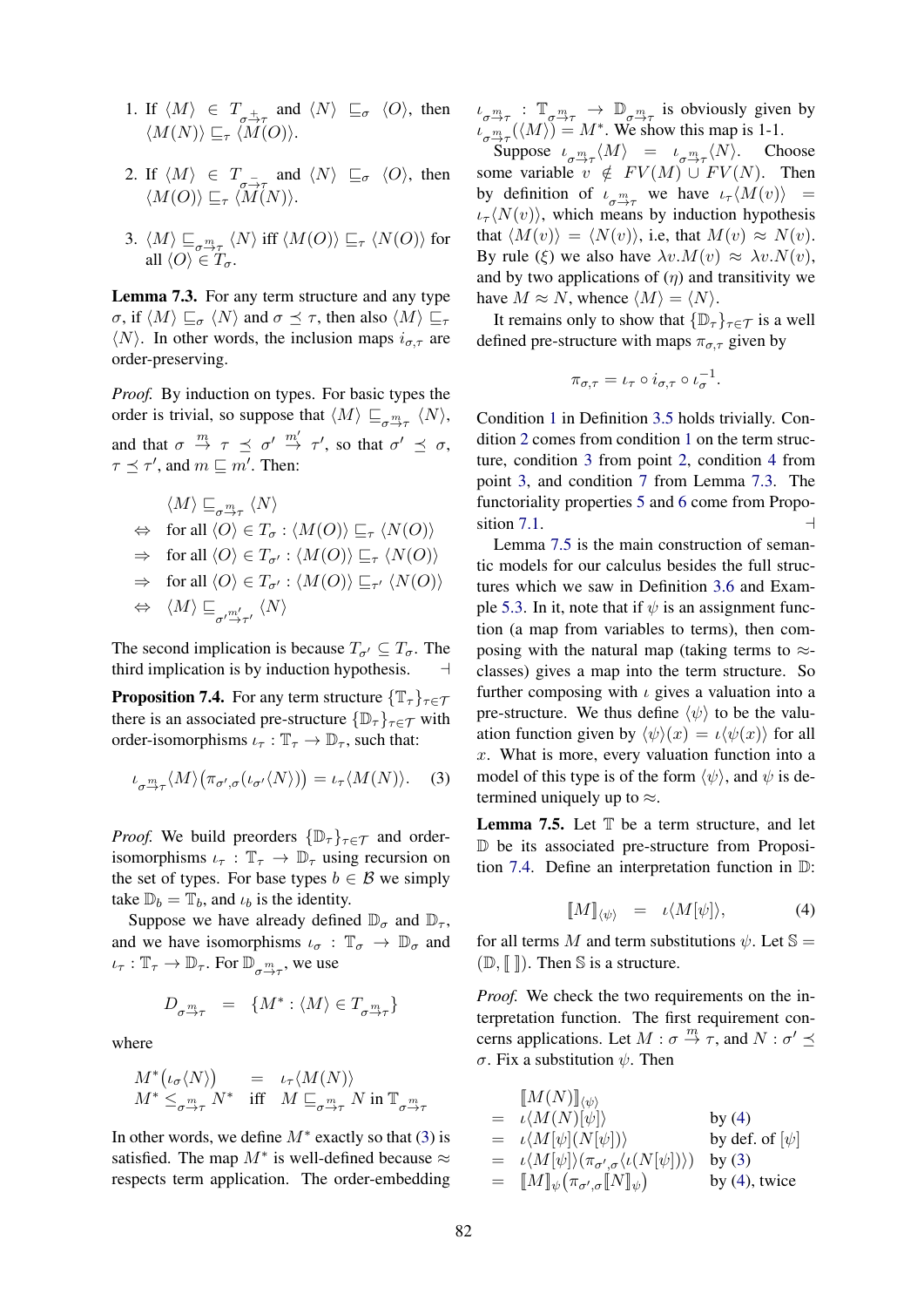- 1. If  $\langle M \rangle \in T_{\frac{1}{\sqrt{2}}\tau}$  and  $\langle N \rangle \subseteq_{\sigma} \langle O \rangle$ , then  $\langle M(N)\rangle \sqsubseteq_{\tau} \langle M(O)\rangle.$
- 2. If  $\langle M \rangle \in T_{\sigma}$  and  $\langle N \rangle \subseteq \sigma \langle O \rangle$ , then  $\langle M(O) \rangle \sqsubseteq_{\tau} \langle M(N) \rangle.$
- 3.  $\langle M \rangle \sqsubseteq_{\sigma^m_{\tau}} \langle N \rangle$  iff  $\langle M(O) \rangle \sqsubseteq_{\tau} \langle N(O) \rangle$  for all  $\langle O \rangle \in T_{\sigma}$ .

Lemma 7.3. For any term structure and any type  $\sigma$ , if  $\langle M \rangle \sqsubseteq_{\sigma} \langle N \rangle$  and  $\sigma \preceq \tau$ , then also  $\langle M \rangle \sqsubseteq_{\tau}$  $\langle N \rangle$ . In other words, the inclusion maps  $i_{\sigma,\tau}$  are order-preserving.

*Proof.* By induction on types. For basic types the order is trivial, so suppose that  $\langle M \rangle \sqsubseteq_{\sigma \stackrel{m}{\rightarrow} \tau} \langle N \rangle$ , and that  $\sigma \stackrel{m}{\rightarrow} \tau \preceq \sigma' \stackrel{m'}{\rightarrow} \tau'$ , so that  $\sigma' \preceq \sigma$ ,  $\tau \preceq \tau'$ , and  $m \sqsubseteq m'$ . Then:

$$
\langle M \rangle \sqsubseteq_{\sigma \xrightarrow{m}_{\tau}} \langle N \rangle
$$
  
\n
$$
\Leftrightarrow \text{ for all } \langle O \rangle \in T_{\sigma} : \langle M(O) \rangle \sqsubseteq_{\tau} \langle N(O) \rangle
$$
  
\n
$$
\Rightarrow \text{ for all } \langle O \rangle \in T_{\sigma'} : \langle M(O) \rangle \sqsubseteq_{\tau} \langle N(O) \rangle
$$
  
\n
$$
\Rightarrow \text{ for all } \langle O \rangle \in T_{\sigma'} : \langle M(O) \rangle \sqsubseteq_{\tau'} \langle N(O) \rangle
$$
  
\n
$$
\Leftrightarrow \langle M \rangle \sqsubseteq_{\sigma' \xrightarrow{m'}_{\tau'}} \langle N \rangle
$$

The second implication is because  $T_{\sigma} \subseteq T_{\sigma}$ . The third implication is by induction hypothesis. a

**Proposition 7.4.** For any term structure  $\{T_{\tau}\}_{{\tau}\in\mathcal{T}}$ there is an associated pre-structure  $\{\mathbb{D}_{\tau}\}_{{\tau}\in\mathcal{T}}$  with order-isomorphisms  $\iota_{\tau} : \mathbb{T}_{\tau} \to \mathbb{D}_{\tau}$ , such that:

$$
\iota_{\sigma^m_{\to \tau}} \langle M \rangle \big( \pi_{\sigma', \sigma}(\iota_{\sigma'} \langle N \rangle) \big) = \iota_{\tau} \langle M(N) \rangle. \tag{3}
$$

*Proof.* We build preorders  $\{\mathbb{D}_{\tau}\}_{{\tau \in \mathcal{T}}}$  and orderisomorphisms  $\iota_{\tau} : \mathbb{T}_{\tau} \to \mathbb{D}_{\tau}$  using recursion on the set of types. For base types  $b \in \mathcal{B}$  we simply take  $\mathbb{D}_b = \mathbb{T}_b$ , and  $\iota_b$  is the identity.

Suppose we have already defined  $\mathbb{D}_{\sigma}$  and  $\mathbb{D}_{\tau}$ , and we have isomorphisms  $\iota_{\sigma} : \mathbb{T}_{\sigma} \to \mathbb{D}_{\sigma}$  and  $\iota_{\tau}: \mathbb{T}_{\tau} \to \mathbb{D}_{\tau}$ . For  $\mathbb{D}_{\sigma \to \tau}$ , we use

$$
D_{\sigma\overset{m}{\rightarrow} \tau} \;\; = \;\; \{M^*: \langle M \rangle \in T_{\sigma\overset{m}{\rightarrow} \tau}\}
$$

where

$$
\begin{array}{lll} M^*\big(\iota_{\sigma}\langle N\rangle\big) &=& \iota_{\tau}\langle M(N)\rangle \\ M^*\leq_{\sigma^{\frac{m}{-}\tau}}N^* & \text{iff} & M\sqsubseteq_{\sigma^{\frac{m}{-}\tau}}N \text{ in } \mathbb{T}_{\sigma^{\frac{m}{-}\tau}} \end{array}
$$

In other words, we define  $M^*$  exactly so that (3) is satisfied. The map  $M^*$  is well-defined because  $\approx$ respects term application. The order-embedding

 $\iota_{\sigma \to \tau} : \mathbb{T}_{\sigma \to \tau} \to \mathbb{D}_{\sigma \to \tau}$  is obviously given by  $\iota_{\sigma_{\overline{N}}^m\tau}(\langle M \rangle) = M^*$ . We show this map is 1-1. Suppose  $\iota_{\sigma \stackrel{m}{\rightarrow} \tau} \langle M \rangle = \iota_{\sigma \stackrel{m}{\rightarrow} \tau}$ Choose some variable  $v \notin FV(M) \cup FV(N)$ . Then

by definition of  $\iota_{\sigma \to \tau}$  we have  $\iota_{\tau} \langle M(v) \rangle =$  $\iota_{\tau} \langle N(v) \rangle$ , which means by induction hypothesis that  $\langle M(v) \rangle = \langle N(v) \rangle$ , i.e, that  $M(v) \approx N(v)$ . By rule (ξ) we also have  $\lambda v.M(v) \approx \lambda v.N(v)$ , and by two applications of  $(\eta)$  and transitivity we have  $M \approx N$ , whence  $\langle M \rangle = \langle N \rangle$ .

It remains only to show that  $\{\mathbb{D}_{\tau}\}_{\tau \in \mathcal{T}}$  is a well defined pre-structure with maps  $\pi_{\sigma,\tau}$  given by

$$
\pi_{\sigma,\tau} = \iota_{\tau} \circ i_{\sigma,\tau} \circ \iota_{\sigma}^{-1}.
$$

Condition 1 in Definition 3.5 holds trivially. Condition 2 comes from condition 1 on the term structure, condition 3 from point 2, condition 4 from point 3, and condition 7 from Lemma 7.3. The functoriality properties 5 and 6 come from Proposition 7.1.  $\Box$ 

Lemma 7.5 is the main construction of semantic models for our calculus besides the full structures which we saw in Definition 3.6 and Example 5.3. In it, note that if  $\psi$  is an assignment function (a map from variables to terms), then composing with the natural map (taking terms to  $\approx$ classes) gives a map into the term structure. So further composing with  $\iota$  gives a valuation into a pre-structure. We thus define  $\langle \psi \rangle$  to be the valuation function given by  $\langle \psi \rangle(x) = \iota \langle \psi(x) \rangle$  for all  $x$ . What is more, every valuation function into a model of this type is of the form  $\langle \psi \rangle$ , and  $\psi$  is determined uniquely up to  $\approx$ .

**Lemma 7.5.** Let  $T$  be a term structure, and let D be its associated pre-structure from Proposition 7.4. Define an interpretation function in D:

$$
\llbracket M \rrbracket_{\langle \psi \rangle} = \iota \langle M[\psi] \rangle, \tag{4}
$$

for all terms M and term substitutions  $\psi$ . Let  $\mathbb{S} =$  $(\mathbb{D}, \llbracket \rrbracket)$ . Then S is a structure.

*Proof.* We check the two requirements on the interpretation function. The first requirement concerns applications. Let  $M : \sigma \stackrel{m}{\rightarrow} \tau$ , and  $N : \sigma' \preceq$ σ. Fix a substitution  $ψ$ . Then

$$
\begin{array}{rcl}\n& [M(N)]_{\langle\psi\rangle} \\
= & \iota \langle M(N)[\psi] \rangle & \text{by (4)} \\
= & \iota \langle M[\psi](N[\psi]) \rangle & \text{by def. of } [\psi] \\
= & \iota \langle M[\psi] \rangle (\pi_{\sigma',\sigma} \langle \iota(N[\psi]) \rangle) & \text{by (3)} \\
= & [M]_{\psi} (\pi_{\sigma',\sigma} [N]_{\psi}) & \text{by (4), twice}\n\end{array}
$$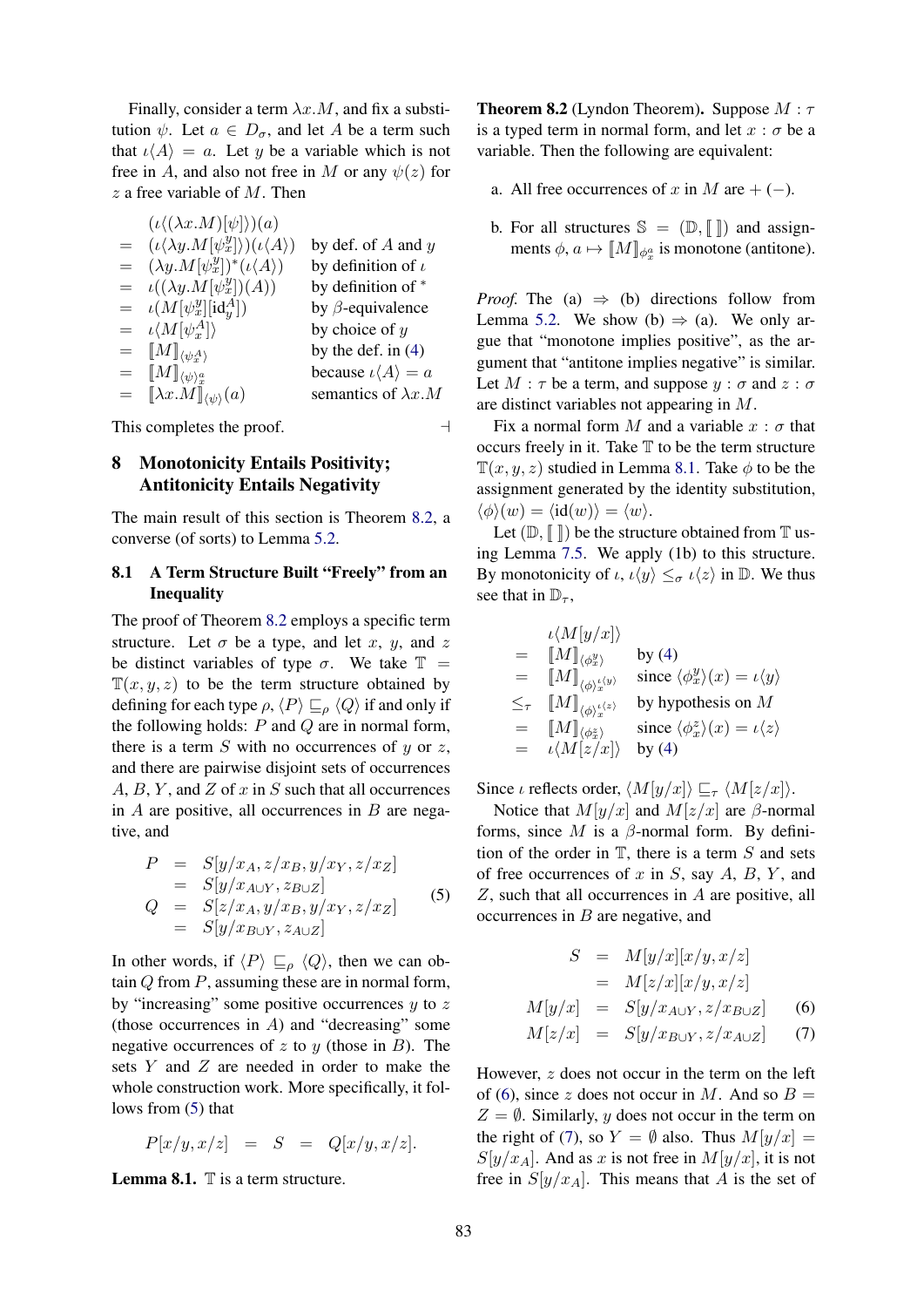Finally, consider a term  $\lambda x.M$ , and fix a substitution  $\psi$ . Let  $a \in D_{\sigma}$ , and let A be a term such that  $\iota \langle A \rangle = a$ . Let y be a variable which is not free in A, and also not free in M or any  $\psi(z)$  for  $z$  a free variable of  $M$ . Then

|     | $(\iota \langle (\lambda x.M) \psi \rangle)(a)$                             |                                       |
|-----|-----------------------------------------------------------------------------|---------------------------------------|
|     | $= (\iota \langle \lambda y. M[\psi^y_x] \rangle)(\iota \langle A \rangle)$ | by def. of $A$ and $y$                |
|     | $= (\lambda y.M[\psi^y_x])^*(\iota\langle A \rangle)$                       | by definition of $\iota$              |
|     | $= \iota((\lambda y.M[\psi^y_x])(A))$                                       | by definition of *                    |
|     | $= \iota(M[\psi^y_x][\mathrm{id}^A_y])$                                     | by $\beta$ -equivalence               |
|     | $= \iota \langle M[\psi^A_x] \rangle$                                       | by choice of $y$                      |
| $=$ | $\llbracket M \rrbracket_{\langle \psi^A_r \rangle}$                        | by the def. in $(4)$                  |
| $=$ | $\llbracket M \rrbracket_{\langle \psi \rangle^a_x}$                        | because $\iota \langle A \rangle = a$ |
| $=$ | $[\![\lambda x.M]\!]_{\langle\psi\rangle}(a)$                               | semantics of $\lambda x.M$            |
|     |                                                                             |                                       |

This completes the proof.  $\Box$ 

# 8 Monotonicity Entails Positivity; Antitonicity Entails Negativity

The main result of this section is Theorem 8.2, a converse (of sorts) to Lemma 5.2.

# 8.1 A Term Structure Built "Freely" from an Inequality

The proof of Theorem 8.2 employs a specific term structure. Let  $\sigma$  be a type, and let x, y, and z be distinct variables of type  $\sigma$ . We take  $\mathbb{T}$  =  $\mathbb{T}(x, y, z)$  to be the term structure obtained by defining for each type  $\rho$ ,  $\langle P \rangle \sqsubseteq_{\rho} \langle Q \rangle$  if and only if the following holds:  $P$  and  $Q$  are in normal form, there is a term  $S$  with no occurrences of  $y$  or  $z$ , and there are pairwise disjoint sets of occurrences  $A, B, Y$ , and  $Z$  of  $x$  in  $S$  such that all occurrences in  $A$  are positive, all occurrences in  $B$  are negative, and

$$
P = S[y/x_A, z/x_B, y/x_Y, z/x_Z]
$$
  
\n
$$
= S[y/x_{A\cup Y}, z_{B\cup Z}]
$$
  
\n
$$
Q = S[z/x_A, y/x_B, y/x_Y, z/x_Z]
$$
  
\n
$$
= S[y/x_{B\cup Y}, z_{A\cup Z}]
$$
\n(5)

In other words, if  $\langle P \rangle \sqsubseteq_{\rho} \langle Q \rangle$ , then we can obtain  $Q$  from  $P$ , assuming these are in normal form, by "increasing" some positive occurrences  $y$  to  $z$ (those occurrences in  $A$ ) and "decreasing" some negative occurrences of z to y (those in  $B$ ). The sets Y and Z are needed in order to make the whole construction work. More specifically, it follows from (5) that

$$
P[x/y, x/z] = S = Q[x/y, x/z].
$$

**Lemma 8.1.**  $\mathbb{T}$  is a term structure.

**Theorem 8.2** (Lyndon Theorem). Suppose  $M : \tau$ is a typed term in normal form, and let  $x : \sigma$  be a variable. Then the following are equivalent:

- a. All free occurrences of x in M are  $+ (-)$ .
- b. For all structures  $\mathbb{S} = (\mathbb{D}, \llbracket \rrbracket)$  and assignments  $\phi, a \mapsto [M]_{\phi_x^a}$  is monotone (antitone).

*Proof.* The (a)  $\Rightarrow$  (b) directions follow from Lemma 5.2. We show (b)  $\Rightarrow$  (a). We only argue that "monotone implies positive", as the argument that "antitone implies negative" is similar. Let  $M : \tau$  be a term, and suppose  $y : \sigma$  and  $z : \sigma$ are distinct variables not appearing in M.

Fix a normal form M and a variable  $x : \sigma$  that occurs freely in it. Take  $T$  to be the term structure  $\mathbb{T}(x, y, z)$  studied in Lemma 8.1. Take  $\phi$  to be the assignment generated by the identity substitution,  $\langle \phi \rangle(w) = \langle id(w) \rangle = \langle w \rangle.$ 

Let  $(\mathbb{D}, \mathbb{F})$  be the structure obtained from  $\mathbb{T}$  using Lemma 7.5. We apply (1b) to this structure. By monotonicity of  $\iota$ ,  $\iota \langle y \rangle \leq_{\sigma} \iota \langle z \rangle$  in D. We thus see that in  $\mathbb{D}_{\tau}$ ,

|          | $\iota \langle M[y/x] \rangle$                                               |                                                               |
|----------|------------------------------------------------------------------------------|---------------------------------------------------------------|
| $\equiv$ | $\llbracket M \rrbracket_{\langle \phi_x^y \rangle}$                         | by $(4)$                                                      |
| $=$      | $\llbracket M \rrbracket_{\langle \phi \rangle_x^{\iota \langle y \rangle}}$ | since $\langle \phi_x^y \rangle(x) = \iota \langle y \rangle$ |
|          | $\leq_\tau$ $[M]_{\langle\phi\rangle_\tau^{l\langle z\rangle}}$              | by hypothesis on $M$                                          |
| $=$      | $[\![M]\!]_{\langle \phi^z_x \rangle}$                                       | since $\langle \phi_x^z \rangle(x) = \iota \langle z \rangle$ |
| $=$      | $\iota \langle M[z/x] \rangle$                                               | by $(4)$                                                      |

Since *ι* reflects order,  $\langle M[y/x] \rangle \sqsubseteq_{\tau} \langle M[z/x] \rangle$ .

Notice that  $M[y/x]$  and  $M[z/x]$  are  $\beta$ -normal forms, since M is a  $\beta$ -normal form. By definition of the order in  $T$ , there is a term S and sets of free occurrences of  $x$  in  $S$ , say  $A$ ,  $B$ ,  $Y$ , and Z, such that all occurrences in A are positive, all occurrences in  $B$  are negative, and

$$
S = M[y/x][x/y, x/z]
$$
  
\n
$$
= M[z/x][x/y, x/z]
$$
  
\n
$$
M[y/x] = S[y/x_{A\cup Y}, z/x_{B\cup Z}]
$$
 (6)  
\n
$$
M[z/x] = S[y/x_{B\cup Y}, z/x_{A\cup Z}]
$$
 (7)

However, z does not occur in the term on the left of (6), since z does not occur in M. And so  $B =$  $Z = \emptyset$ . Similarly, y does not occur in the term on the right of (7), so  $Y = \emptyset$  also. Thus  $M[y/x] =$  $S[y/x_A]$ . And as x is not free in  $M[y/x]$ , it is not free in  $S[y/x_A]$ . This means that A is the set of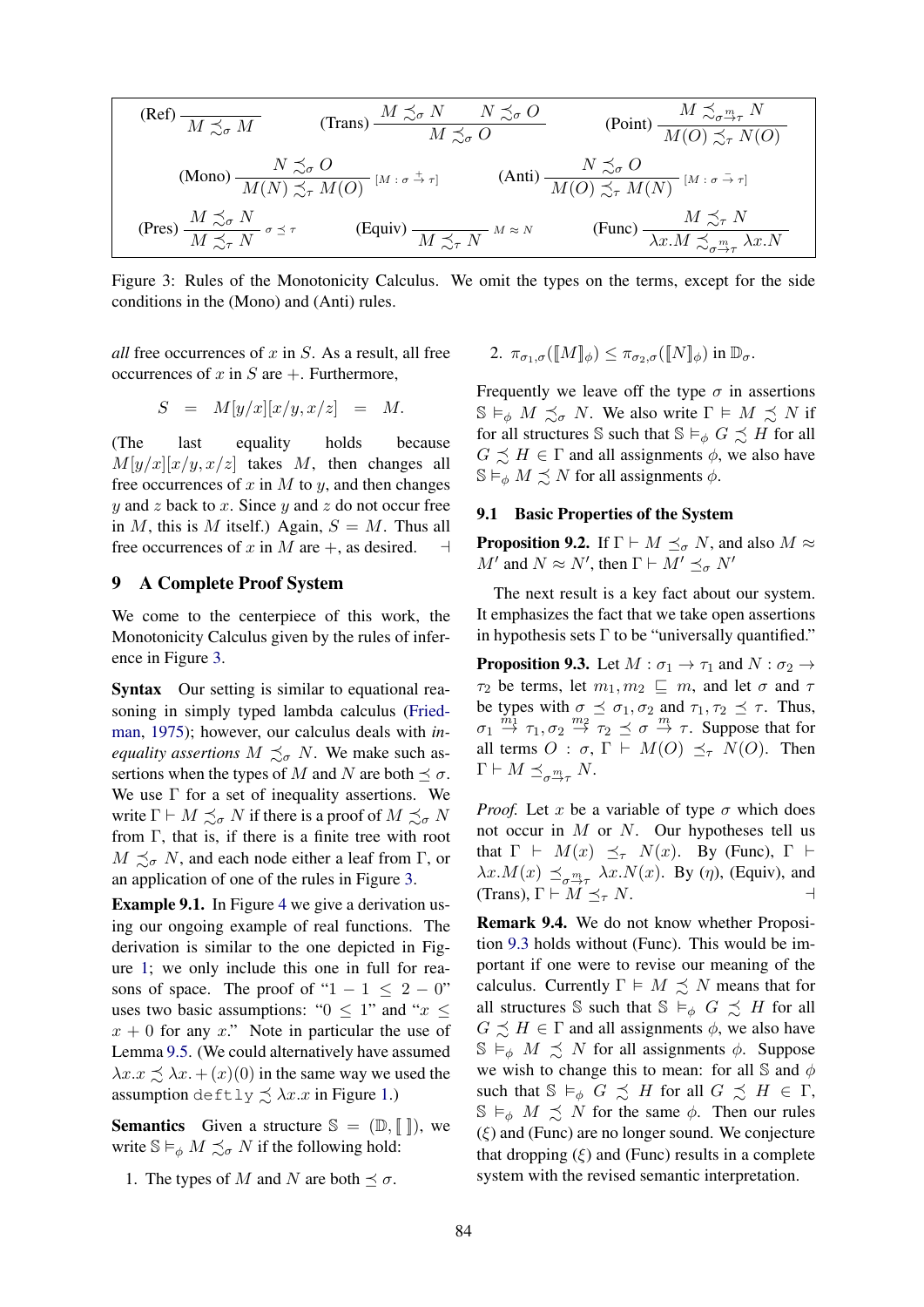(Ref) 
$$
\overline{M \precsim_{\sigma} M}
$$
 (Trans)  $\frac{M \precsim_{\sigma} N}{M \precsim_{\sigma} O}$  (Point)  $\frac{M \precsim_{\sigma^{\frac{m}{2}} \tau} N}{M(O) \precsim_{\tau} N(O)}$   
\n(Mono)  $\frac{N \precsim_{\sigma} O}{M(N) \precsim_{\tau} M(O)}$  [ $M : \sigma \stackrel{\pm}{\rightarrow} \tau$ ] (Anti)  $\frac{N \precsim_{\sigma} O}{M(O) \precsim_{\tau} M(N)}$  [ $M : \sigma \stackrel{\pm}{\rightarrow} \tau$ ]  
\n(Pres)  $\frac{M \precsim_{\sigma} N}{M \precsim_{\tau} N} \sigma \preceq \tau$  (Equiv)  $\frac{M \precsim_{\tau} N}{M \precsim_{\tau} N} M \approx N$  (Func)  $\frac{M \precsim_{\tau} N}{\lambda x.M \precsim_{\sigma^{\frac{m}{2}} \tau} \lambda x.N}$ 

Figure 3: Rules of the Monotonicity Calculus. We omit the types on the terms, except for the side conditions in the (Mono) and (Anti) rules.

*all* free occurrences of  $x$  in  $S$ . As a result, all free occurrences of x in S are  $+$ . Furthermore,

$$
S = M[y/x][x/y, x/z] = M.
$$

(The last equality holds because  $M[y/x][x/y, x/z]$  takes M, then changes all free occurrences of x in M to y, and then changes  $y$  and z back to x. Since  $y$  and z do not occur free in M, this is M itself.) Again,  $S = M$ . Thus all free occurrences of x in M are  $+$ , as desired.  $\Box$ 

# 9 A Complete Proof System

We come to the centerpiece of this work, the Monotonicity Calculus given by the rules of inference in Figure 3.

Syntax Our setting is similar to equational reasoning in simply typed lambda calculus (Friedman, 1975); however, our calculus deals with *inequality assertions*  $M \precsim_{\sigma} N$ . We make such assertions when the types of M and N are both  $\preceq \sigma$ . We use  $\Gamma$  for a set of inequality assertions. We write  $\Gamma \vdash M \preceq_{\sigma} N$  if there is a proof of  $M \preceq_{\sigma} N$ from  $\Gamma$ , that is, if there is a finite tree with root  $M \preceq_{\sigma} N$ , and each node either a leaf from Γ, or an application of one of the rules in Figure 3.

Example 9.1. In Figure 4 we give a derivation using our ongoing example of real functions. The derivation is similar to the one depicted in Figure 1; we only include this one in full for reasons of space. The proof of " $1 - 1 \le 2 - 0$ " uses two basic assumptions: " $0 \leq 1$ " and " $x \leq$  $x + 0$  for any x." Note in particular the use of Lemma 9.5. (We could alternatively have assumed  $\lambda x \preceq \lambda x + (x)(0)$  in the same way we used the assumption deftly  $\preceq \lambda x.x$  in Figure 1.)

**Semantics** Given a structure  $\mathbb{S} = (\mathbb{D}, \mathbb{F})$ , we write  $\mathbb{S} \models_{\phi} M \preceq_{\sigma} N$  if the following hold:

1. The types of M and N are both  $\preceq \sigma$ .

2. 
$$
\pi_{\sigma_1,\sigma}(\llbracket M \rrbracket_{\phi}) \leq \pi_{\sigma_2,\sigma}(\llbracket N \rrbracket_{\phi})
$$
 in  $\mathbb{D}_{\sigma}$ .

Frequently we leave off the type  $\sigma$  in assertions  $\mathbb{S} \models_{\phi} M \preceq_{\sigma} N$ . We also write  $\Gamma \models M \preceq N$  if for all structures S such that  $\mathbb{S} \models_{\phi} G \preceq H$  for all  $G \preceq H \in \Gamma$  and all assignments  $\phi$ , we also have  $\mathbb{S} \vDash_{\phi} M \preceq N$  for all assignments  $\phi$ .

#### 9.1 Basic Properties of the System

**Proposition 9.2.** If  $\Gamma \vdash M \prec_{\sigma} N$ , and also  $M \approx$  $M'$  and  $N \approx N'$ , then  $\Gamma \vdash M' \preceq_{\sigma} N'$ 

The next result is a key fact about our system. It emphasizes the fact that we take open assertions in hypothesis sets  $\Gamma$  to be "universally quantified."

**Proposition 9.3.** Let  $M : \sigma_1 \to \tau_1$  and  $N : \sigma_2 \to$  $\tau_2$  be terms, let  $m_1, m_2 \sqsubseteq m$ , and let  $\sigma$  and  $\tau$ be types with  $\sigma \preceq \sigma_1, \sigma_2$  and  $\tau_1, \tau_2 \preceq \tau$ . Thus,  $\sigma_1 \stackrel{m_1}{\rightarrow} \tau_1, \sigma_2 \stackrel{m_2}{\rightarrow} \tau_2 \preceq \sigma \stackrel{m}{\rightarrow} \tau$ . Suppose that for all terms  $O : \sigma$ ,  $\Gamma \vdash M(O) \preceq_{\tau} N(O)$ . Then  $\Gamma \vdash M \preceq_{\sigma \stackrel{m}{\rightarrow} \tau} N.$ 

*Proof.* Let x be a variable of type  $\sigma$  which does not occur in  $M$  or  $N$ . Our hypotheses tell us that  $\Gamma \vdash M(x) \preceq_{\tau} N(x)$ . By (Func),  $\Gamma \vdash$  $\lambda x.M(x) \preceq_{\sigma^m_{\tau}} \lambda x.N(x)$ . By  $(\eta)$ , (Equiv), and (Trans),  $\Gamma \vdash M \preceq_{\tau} N$ .

Remark 9.4. We do not know whether Proposition 9.3 holds without (Func). This would be important if one were to revise our meaning of the calculus. Currently  $\Gamma \models M \precsim N$  means that for all structures S such that  $S \vDash_{\phi} G \preceq H$  for all  $G \preceq H \in \Gamma$  and all assignments  $\phi$ , we also have  $\mathbb{S} \models_{\phi} M \preceq N$  for all assignments  $\phi$ . Suppose we wish to change this to mean: for all  $\mathcal S$  and  $\phi$ such that  $\mathbb{S} \models_{\phi} G \preceq H$  for all  $G \preceq H \in \Gamma$ ,  $\mathbb{S} \models_{\phi} M \preceq N$  for the same  $\phi$ . Then our rules  $(\xi)$  and (Func) are no longer sound. We conjecture that dropping  $(\xi)$  and (Func) results in a complete system with the revised semantic interpretation.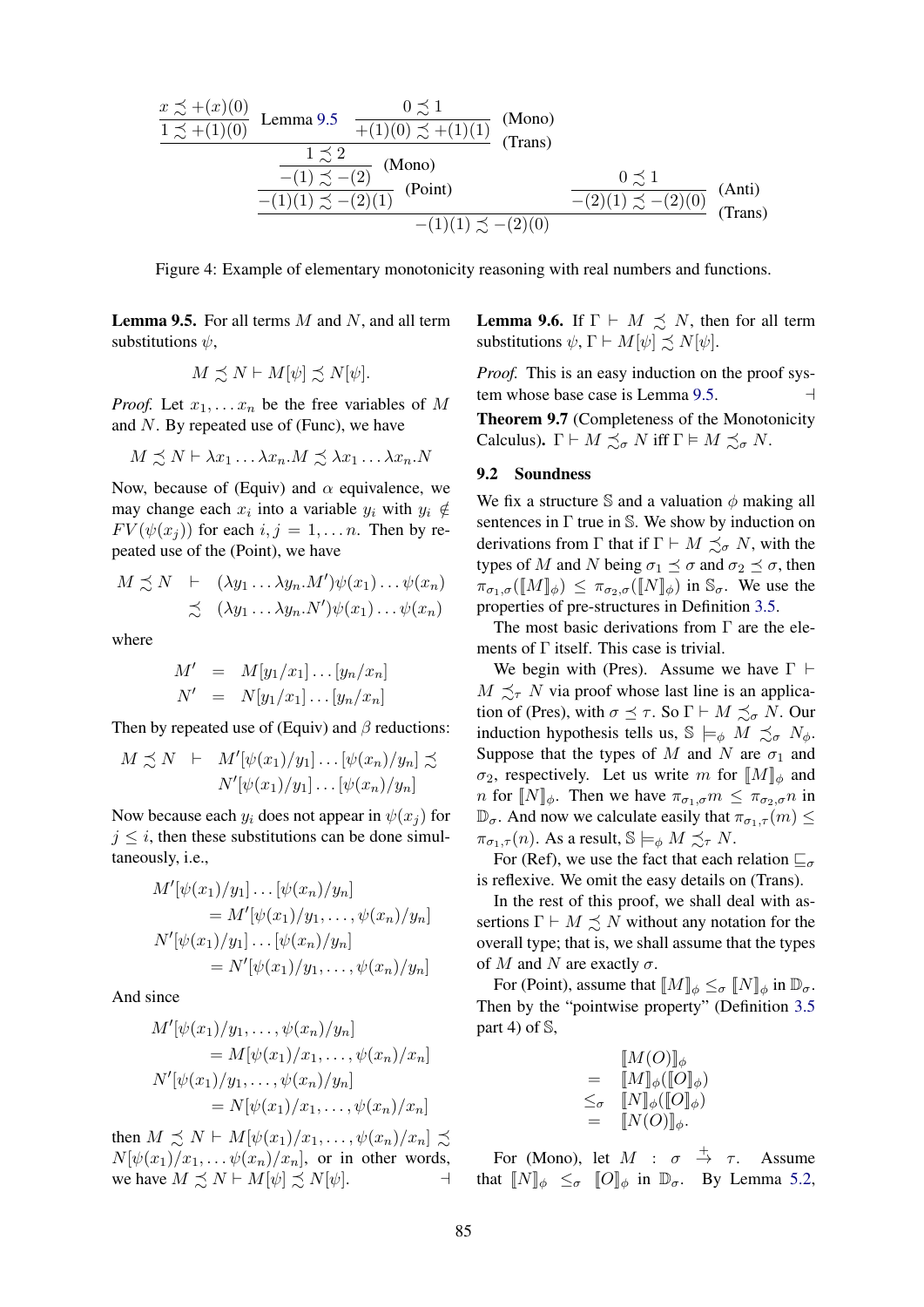$$
\frac{x \precsim + (x)(0)}{1 \precsim + (1)(0)} \text{ Lemma 9.5} \quad \frac{0 \precsim 1}{+(1)(0) \precsim + (1)(1)} \quad \text{(Mono)}
$$
\n
$$
\frac{1 \precsim 2}{-(1) \precsim - (2)} \quad \text{(Mono)}
$$
\n
$$
\frac{- (1) \precsim - (2)}{-(1)(1) \precsim - (2)(1)} \quad \text{(Point)} \quad \frac{0 \precsim 1}{-(2)(1) \precsim - (2)(0)} \quad \text{(Anti)}
$$
\n
$$
-(1)(1) \precsim - (2)(0) \quad \text{(Trans)}
$$

Figure 4: Example of elementary monotonicity reasoning with real numbers and functions.

**Lemma 9.5.** For all terms  $M$  and  $N$ , and all term substitutions  $\psi$ ,

$$
M \precsim N \vdash M[\psi] \precsim N[\psi].
$$

*Proof.* Let  $x_1, \ldots, x_n$  be the free variables of M and  $N$ . By repeated use of (Func), we have

$$
M \precsim N \vdash \lambda x_1 \ldots \lambda x_n.M \precsim \lambda x_1 \ldots \lambda x_n.N
$$

Now, because of (Equiv) and  $\alpha$  equivalence, we may change each  $x_i$  into a variable  $y_i$  with  $y_i \notin$  $FV(\psi(x_i))$  for each  $i, j = 1, \ldots n$ . Then by repeated use of the (Point), we have

$$
M \preceq N \quad \vdash \quad (\lambda y_1 \dots \lambda y_n. M') \psi(x_1) \dots \psi(x_n)
$$
  
 
$$
\preceq \quad (\lambda y_1 \dots \lambda y_n. N') \psi(x_1) \dots \psi(x_n)
$$

where

$$
M' = M[y_1/x_1] \dots [y_n/x_n]
$$
  

$$
N' = N[y_1/x_1] \dots [y_n/x_n]
$$

Then by repeated use of (Equiv) and  $\beta$  reductions:

$$
M \precsim N \quad \vdash \quad M'[\psi(x_1)/y_1] \dots [\psi(x_n)/y_n] \precsim
$$
  

$$
N'[\psi(x_1)/y_1] \dots [\psi(x_n)/y_n]
$$

Now because each  $y_i$  does not appear in  $\psi(x_i)$  for  $j \leq i$ , then these substitutions can be done simultaneously, i.e.,

$$
M'[\psi(x_1)/y_1] \dots [\psi(x_n)/y_n] = M'[\psi(x_1)/y_1, \dots, \psi(x_n)/y_n] N'[\psi(x_1)/y_1] \dots [\psi(x_n)/y_n] = N'[\psi(x_1)/y_1, \dots, \psi(x_n)/y_n]
$$

And since

$$
M'[\psi(x_1)/y_1, \dots, \psi(x_n)/y_n]
$$
  
=  $M[\psi(x_1)/x_1, \dots, \psi(x_n)/x_n]$   

$$
N'[\psi(x_1)/y_1, \dots, \psi(x_n)/y_n]
$$
  
=  $N[\psi(x_1)/x_1, \dots, \psi(x_n)/x_n]$ 

then  $M \precsim N \vdash M[\psi(x_1)/x_1, \ldots, \psi(x_n)/x_n] \precsim$  $N[\psi(x_1)/x_1, \ldots \psi(x_n)/x_n]$ , or in other words, we have  $M \precsim N \vdash M[\psi] \precsim N[\psi]$ . **Lemma 9.6.** If  $\Gamma \vdash M \precsim N$ , then for all term substitutions  $\psi$ ,  $\Gamma \vdash M[\psi] \precsim N[\psi]$ .

*Proof.* This is an easy induction on the proof system whose base case is Lemma 9.5.  $\Box$ 

Theorem 9.7 (Completeness of the Monotonicity Calculus).  $\Gamma \vdash M \preceq_{\sigma} N$  iff  $\Gamma \vDash M \preceq_{\sigma} N$ .

#### 9.2 Soundness

We fix a structure S and a valuation  $\phi$  making all sentences in  $\Gamma$  true in S. We show by induction on derivations from  $\Gamma$  that if  $\Gamma \vdash M \precsim_{\sigma} N$ , with the types of M and N being  $\sigma_1 \preceq \sigma$  and  $\sigma_2 \preceq \sigma$ , then  $\pi_{\sigma_1,\sigma}(\llbracket M \rrbracket_{\phi}) \leq \pi_{\sigma_2,\sigma}(\llbracket N \rrbracket_{\phi})$  in  $\mathbb{S}_{\sigma}$ . We use the properties of pre-structures in Definition 3.5.

The most basic derivations from  $\Gamma$  are the elements of  $\Gamma$  itself. This case is trivial.

We begin with (Pres). Assume we have  $\Gamma \vdash$  $M \preceq_{\tau} N$  via proof whose last line is an application of (Pres), with  $\sigma \preceq \tau$ . So  $\Gamma \vdash M \preceq_{\sigma} N$ . Our induction hypothesis tells us,  $\mathbb{S} \models_{\phi} M \preceq_{\sigma} N_{\phi}$ . Suppose that the types of M and N are  $\sigma_1$  and  $\sigma_2$ , respectively. Let us write m for  $[M]_{\phi}$  and n for  $[N]_{\phi}$ . Then we have  $\pi_{\sigma_1,\sigma} m \leq \pi_{\sigma_2,\sigma} n$  in  $\mathbb{D}_{\sigma}$ . And now we calculate easily that  $\pi_{\sigma_1,\tau}(m) \leq$  $\pi_{\sigma_1,\tau}(n)$ . As a result,  $\mathbb{S}\models_{\phi} M \preceq_{\tau} N$ .

For (Ref), we use the fact that each relation  $\mathbb{Z}_{\sigma}$ is reflexive. We omit the easy details on (Trans).

In the rest of this proof, we shall deal with assertions  $\Gamma \vdash M \preceq N$  without any notation for the overall type; that is, we shall assume that the types of M and N are exactly  $\sigma$ .

For (Point), assume that  $[M]_{\phi} \leq_{\sigma} [N]_{\phi}$  in  $\mathbb{D}_{\sigma}$ . Then by the "pointwise property" (Definition 3.5 part 4) of S,

$$
= \begin{array}{cc} \llbracket M(O) \rrbracket_{\phi} \\ = \llbracket M \rrbracket_{\phi} (\llbracket O \rrbracket_{\phi}) \\ \leq_{\sigma} \quad \llbracket N \rrbracket_{\phi} (\llbracket O \rrbracket_{\phi}) \\ = \quad \llbracket N(O) \rrbracket_{\phi}. \end{array}
$$

For (Mono), let  $M : \sigma \stackrel{+}{\rightarrow} \tau$ . Assume that  $[N]_{\phi} \leq_{\sigma} [O]_{\phi}$  in  $\mathbb{D}_{\sigma}$ . By Lemma 5.2,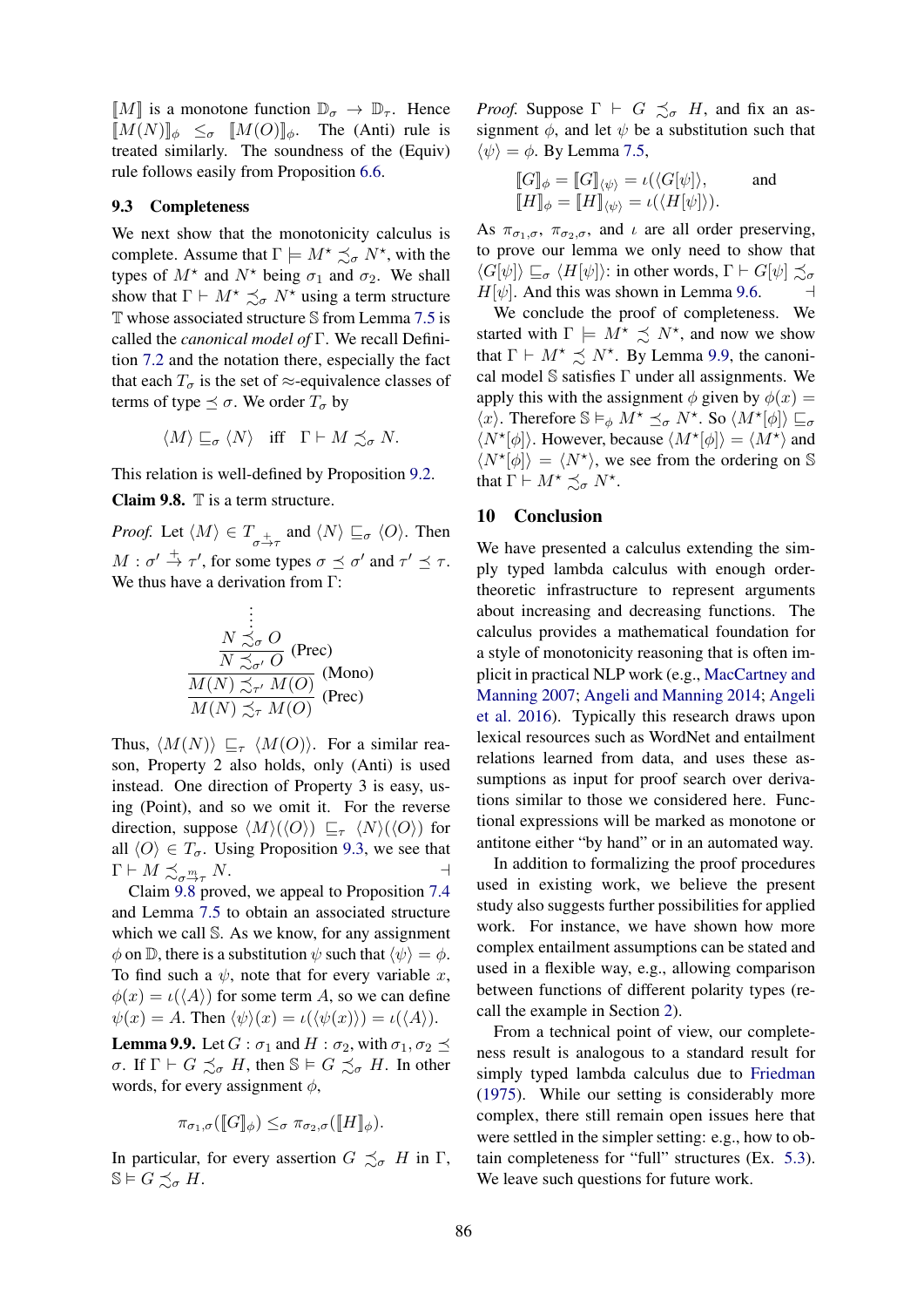$[M]$  is a monotone function  $\mathbb{D}_{\sigma} \to \mathbb{D}_{\tau}$ . Hence  $[M(N)]_{\phi} \leq_{\sigma} [M(O)]_{\phi}$ . The (Anti) rule is treated similarly. The soundness of the (Equiv) rule follows easily from Proposition 6.6.

#### 9.3 Completeness

We next show that the monotonicity calculus is complete. Assume that  $\Gamma \models M^* \precsim_{\sigma} N^*$ , with the types of  $M^*$  and  $N^*$  being  $\sigma_1$  and  $\sigma_2$ . We shall show that  $\Gamma \vdash M^* \precsim_{\sigma} N^*$  using a term structure T whose associated structure S from Lemma 7.5 is called the *canonical model of* Γ. We recall Definition 7.2 and the notation there, especially the fact that each  $T_{\sigma}$  is the set of  $\approx$ -equivalence classes of terms of type  $\preceq \sigma$ . We order  $T_{\sigma}$  by

$$
\langle M \rangle \sqsubseteq_{\sigma} \langle N \rangle \quad \text{iff} \quad \Gamma \vdash M \precsim_{\sigma} N.
$$

This relation is well-defined by Proposition 9.2.

**Claim 9.8.**  $\mathbb{T}$  is a term structure.

*Proof.* Let  $\langle M \rangle \in T_{\sigma \to \tau}$  and  $\langle N \rangle \sqsubseteq_{\sigma} \langle O \rangle$ . Then  $M : \sigma' \stackrel{+}{\rightarrow} \tau'$ , for some types  $\sigma \preceq \sigma'$  and  $\tau' \preceq \tau$ . We thus have a derivation from Γ:

$$
\begin{array}{c}\n\vdots \\
\frac{N \precsim_{\sigma} O}{N \precsim_{\sigma'} O} \text{ (Prec)} \\
\frac{M(N) \precsim_{\tau'} M(O)}{M(N) \precsim_{\tau} M(O)} \text{ (Mono)} \\
\frac{M(N) \precsim_{\tau} M(O)}{M(P) \precsim_{\tau'} M(O)}\n\end{array}
$$

Thus,  $\langle M(N) \rangle \sqsubseteq_{\tau} \langle M(O) \rangle$ . For a similar reason, Property 2 also holds, only (Anti) is used instead. One direction of Property 3 is easy, using (Point), and so we omit it. For the reverse direction, suppose  $\langle M \rangle (\langle O \rangle) \sqsubseteq_{\tau} \langle N \rangle (\langle O \rangle)$  for all  $\langle O \rangle \in T_{\sigma}$ . Using Proposition 9.3, we see that  $\Gamma \vdash M \preceq m \ N$ .  $\Gamma \vdash M \precsim_{\sigma \xrightarrow{\mathcal{m}} \tau}$  $N.$ 

Claim 9.8 proved, we appeal to Proposition 7.4 and Lemma 7.5 to obtain an associated structure which we call S. As we know, for any assignment  $\phi$  on D, there is a substitution  $\psi$  such that  $\langle \psi \rangle = \phi$ . To find such a  $\psi$ , note that for every variable x,  $\phi(x) = \iota(\langle A \rangle)$  for some term A, so we can define  $\psi(x) = A$ . Then  $\langle \psi \rangle(x) = \iota(\langle \psi(x) \rangle) = \iota(\langle A \rangle)$ .

**Lemma 9.9.** Let  $G : \sigma_1$  and  $H : \sigma_2$ , with  $\sigma_1, \sigma_2 \preceq$ σ. If  $\Gamma \vdash G \preceq_{\sigma} H$ , then  $\mathbb{S} \models G \preceq_{\sigma} H$ . In other words, for every assignment  $\phi$ ,

$$
\pi_{\sigma_1,\sigma}(\llbracket G \rrbracket_{\phi}) \leq_{\sigma} \pi_{\sigma_2,\sigma}(\llbracket H \rrbracket_{\phi}).
$$

In particular, for every assertion  $G \precsim_{\sigma} H$  in  $\Gamma$ ,  $\mathbb{S} \models G \precsim_{\sigma} H.$ 

*Proof.* Suppose  $\Gamma \vdash G \precsim_{\sigma} H$ , and fix an assignment  $\phi$ , and let  $\psi$  be a substitution such that  $\langle \psi \rangle = \phi$ . By Lemma 7.5,

$$
\begin{aligned} \llbracket G \rrbracket_\phi &= \llbracket G \rrbracket_{\langle \psi \rangle} = \iota(\langle G[\psi] \rangle, \qquad \text{and} \\ \llbracket H \rrbracket_\phi &= \llbracket H \rrbracket_{\langle \psi \rangle} = \iota(\langle H[\psi] \rangle). \end{aligned}
$$

As  $\pi_{\sigma_1,\sigma}$ ,  $\pi_{\sigma_2,\sigma}$ , and  $\iota$  are all order preserving, to prove our lemma we only need to show that  $\langle G[\psi] \rangle \sqsubseteq_{\sigma} \langle H[\psi] \rangle$ : in other words,  $\Gamma \vdash G[\psi] \precsim_{\sigma}$  $H[\psi]$ . And this was shown in Lemma 9.6.  $\Box$ 

We conclude the proof of completeness. We started with  $\Gamma \models M^* \precsim N^*$ , and now we show that  $\Gamma \vdash M^* \precsim N^*$ . By Lemma 9.9, the canonical model  $\mathbb S$  satisfies  $\Gamma$  under all assignments. We apply this with the assignment  $\phi$  given by  $\phi(x) =$  $\langle x \rangle$ . Therefore  $\mathbb{S} \vDash_{\phi} M^{\star} \preceq_{\sigma} N^{\star}$ . So  $\langle M^{\star}[\phi] \rangle \sqsubseteq_{\sigma}$  $\langle N^{\star}[\phi] \rangle$ . However, because  $\langle M^{\star}[\phi] \rangle = \langle M^{\star} \rangle$  and  $\langle N^{\star}[\phi] \rangle = \langle N^{\star} \rangle$ , we see from the ordering on S that  $\Gamma \vdash M^* \precsim_{\sigma} N^*$ .

# 10 Conclusion

We have presented a calculus extending the simply typed lambda calculus with enough ordertheoretic infrastructure to represent arguments about increasing and decreasing functions. The calculus provides a mathematical foundation for a style of monotonicity reasoning that is often implicit in practical NLP work (e.g., MacCartney and Manning 2007; Angeli and Manning 2014; Angeli et al. 2016). Typically this research draws upon lexical resources such as WordNet and entailment relations learned from data, and uses these assumptions as input for proof search over derivations similar to those we considered here. Functional expressions will be marked as monotone or antitone either "by hand" or in an automated way.

In addition to formalizing the proof procedures used in existing work, we believe the present study also suggests further possibilities for applied work. For instance, we have shown how more complex entailment assumptions can be stated and used in a flexible way, e.g., allowing comparison between functions of different polarity types (recall the example in Section 2).

From a technical point of view, our completeness result is analogous to a standard result for simply typed lambda calculus due to Friedman (1975). While our setting is considerably more complex, there still remain open issues here that were settled in the simpler setting: e.g., how to obtain completeness for "full" structures (Ex. 5.3). We leave such questions for future work.